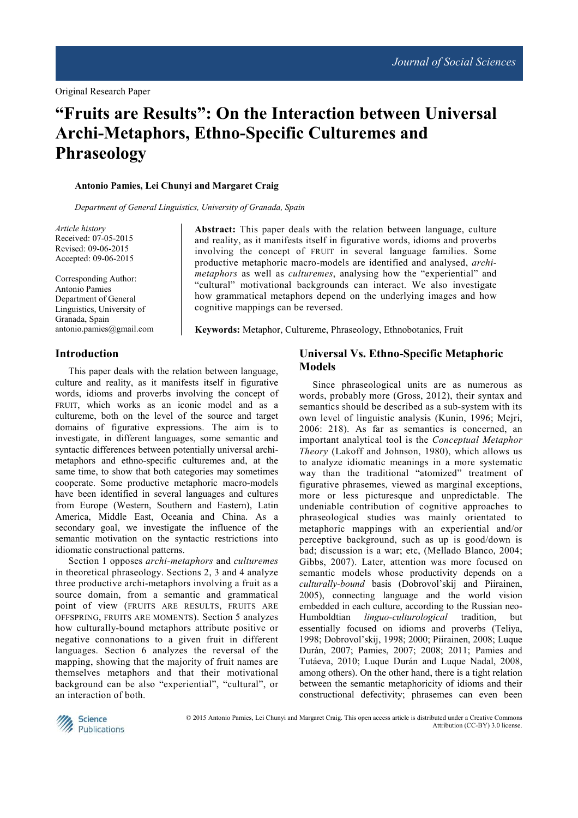# **"Fruits are Results": On the Interaction between Universal Archi-Metaphors, Ethno-Specific Culturemes and Phraseology**

#### **Antonio Pamies, Lei Chunyi and Margaret Craig**

*Department of General Linguistics, University of Granada, Spain* 

*Article history*  Received: 07-05-2015 Revised: 09-06-2015 Accepted: 09-06-2015

Corresponding Author: Antonio Pamies Department of General Linguistics, University of Granada, Spain antonio.pamies@gmail.com

**Abstract:** This paper deals with the relation between language, culture and reality, as it manifests itself in figurative words, idioms and proverbs involving the concept of FRUIT in several language families. Some productive metaphoric macro-models are identified and analysed, *archimetaphors* as well as *culturemes*, analysing how the "experiential" and "cultural" motivational backgrounds can interact. We also investigate how grammatical metaphors depend on the underlying images and how cognitive mappings can be reversed.

**Keywords:** Metaphor, Cultureme, Phraseology, Ethnobotanics, Fruit

### **Introduction**

This paper deals with the relation between language, culture and reality, as it manifests itself in figurative words, idioms and proverbs involving the concept of FRUIT, which works as an iconic model and as a cultureme, both on the level of the source and target domains of figurative expressions. The aim is to investigate, in different languages, some semantic and syntactic differences between potentially universal archimetaphors and ethno-specific culturemes and, at the same time, to show that both categories may sometimes cooperate. Some productive metaphoric macro-models have been identified in several languages and cultures from Europe (Western, Southern and Eastern), Latin America, Middle East, Oceania and China. As a secondary goal, we investigate the influence of the semantic motivation on the syntactic restrictions into idiomatic constructional patterns.

Section 1 opposes *archi-metaphors* and *culturemes* in theoretical phraseology. Sections 2, 3 and 4 analyze three productive archi-metaphors involving a fruit as a source domain, from a semantic and grammatical point of view (FRUITS ARE RESULTS, FRUITS ARE OFFSPRING, FRUITS ARE MOMENTS). Section 5 analyzes how culturally-bound metaphors attribute positive or negative connonations to a given fruit in different languages. Section 6 analyzes the reversal of the mapping, showing that the majority of fruit names are themselves metaphors and that their motivational background can be also "experiential", "cultural", or an interaction of both.

# **Universal Vs. Ethno-Specific Metaphoric Models**

Since phraseological units are as numerous as words, probably more (Gross, 2012), their syntax and semantics should be described as a sub-system with its own level of linguistic analysis (Kunin, 1996; Mejri, 2006: 218). As far as semantics is concerned, an important analytical tool is the *Conceptual Metaphor Theory* (Lakoff and Johnson, 1980), which allows us to analyze idiomatic meanings in a more systematic way than the traditional "atomized" treatment of figurative phrasemes, viewed as marginal exceptions, more or less picturesque and unpredictable. The undeniable contribution of cognitive approaches to phraseological studies was mainly orientated to metaphoric mappings with an experiential and/or perceptive background, such as up is good/down is bad; discussion is a war; etc, (Mellado Blanco, 2004; Gibbs, 2007). Later, attention was more focused on semantic models whose productivity depends on a *culturally-bound* basis (Dobrovol'skij and Piirainen, 2005), connecting language and the world vision embedded in each culture, according to the Russian neo-Humboldtian *linguo-culturological* tradition, but essentially focused on idioms and proverbs (Teliya, 1998; Dobrovol'skij, 1998; 2000; Piirainen, 2008; Luque Durán, 2007; Pamies, 2007; 2008; 2011; Pamies and Tutáeva, 2010; Luque Durán and Luque Nadal, 2008, among others). On the other hand, there is a tight relation between the semantic metaphoricity of idioms and their constructional defectivity; phrasemes can even been



 © 2015 Antonio Pamies, Lei Chunyi and Margaret Craig. This open access article is distributed under a Creative Commons Attribution (CC-BY) 3.0 license.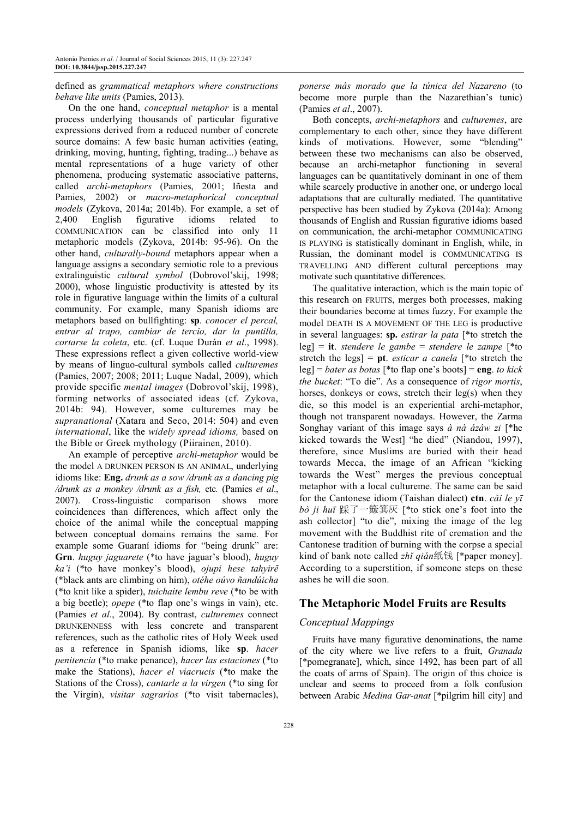### defined as *grammatical metaphors where constructions behave like units* (Pamies, 2013).

On the one hand, *conceptual metaphor* is a mental process underlying thousands of particular figurative expressions derived from a reduced number of concrete source domains: A few basic human activities (eating, drinking, moving, hunting, fighting, trading...) behave as mental representations of a huge variety of other phenomena, producing systematic associative patterns, called *archi-metaphors* (Pamies, 2001; Iñesta and Pamies, 2002) or *macro-metaphorical conceptual models* (Zykova, 2014a; 2014b). For example, a set of 2,400 English figurative idioms related to COMMUNICATION can be classified into only 11 metaphoric models (Zykova, 2014b: 95-96). On the other hand, *culturally-bound* metaphors appear when a language assigns a secondary semiotic role to a previous extralinguistic *cultural symbol* (Dobrovol'skij, 1998; 2000), whose linguistic productivity is attested by its role in figurative language within the limits of a cultural community. For example, many Spanish idioms are metaphors based on bullfighting: **sp**. *conocer el percal, entrar al trapo, cambiar de tercio, dar la puntilla, cortarse la coleta*, etc. (cf. Luque Durán *et al*., 1998). These expressions reflect a given collective world-view by means of linguo-cultural symbols called *culturemes* (Pamies, 2007; 2008; 2011; Luque Nadal, 2009), which provide specific *mental images* (Dobrovol'skij, 1998), forming networks of associated ideas (cf. Zykova, 2014b: 94). However, some culturemes may be *supranational* (Xatara and Seco, 2014: 504) and even *international*, like the *widely spread idioms,* based on the Bible or Greek mythology (Piirainen, 2010).

An example of perceptive *archi-metaphor* would be the model A DRUNKEN PERSON IS AN ANIMAL, underlying idioms like: **Eng.** *drunk as a sow /drunk as a dancing pig /drunk as a monkey /drunk as a fish,* etc*.* (Pamies *et al*., 2007). Cross-linguistic comparison shows more coincidences than differences, which affect only the choice of the animal while the conceptual mapping between conceptual domains remains the same. For example some Guaraní idioms for "being drunk" are: **Grn**. *huguy jaguarete* (\*to have jaguar's blood), *huguy ka'i* (\*to have monkey's blood), *ojupi hese tahyirẽ*  (\*black ants are climbing on him), *otéhe oúvo ñandúicha* (\*to knit like a spider), *tuichaite lembu reve* (\*to be with a big beetle); *opepe* (\*to flap one's wings in vain), etc. (Pamies *et al*., 2004). By contrast, *culturemes* connect DRUNKENNESS with less concrete and transparent references, such as the catholic rites of Holy Week used as a reference in Spanish idioms, like **sp**. *hacer penitencia* (\*to make penance), *hacer las estaciones* (\*to make the Stations), *hacer el viacrucis* (\*to make the Stations of the Cross), *cantarle a la virgen* (\*to sing for the Virgin), *visitar sagrarios* (\*to visit tabernacles),

*ponerse más morado que la túnica del Nazareno* (to become more purple than the Nazarethian's tunic) (Pamies *et al*., 2007).

Both concepts, *archi-metaphors* and *culturemes*, are complementary to each other, since they have different kinds of motivations. However, some "blending" between these two mechanisms can also be observed, because an archi-metaphor functioning in several languages can be quantitatively dominant in one of them while scarcely productive in another one, or undergo local adaptations that are culturally mediated. The quantitative perspective has been studied by Zykova (2014a): Among thousands of English and Russian figurative idioms based on communication, the archi-metaphor COMMUNICATING IS PLAYING is statistically dominant in English, while, in Russian, the dominant model is COMMUNICATING IS TRAVELLING AND different cultural perceptions may motivate such quantitative differences.

The qualitative interaction, which is the main topic of this research on FRUITS, merges both processes, making their boundaries become at times fuzzy. For example the model DEATH IS A MOVEMENT OF THE LEG is productive in several languages: **sp.** *estirar la pata* [\*to stretch the leg] = **it**. *stendere le gambe* = *stendere le zampe* [\*to stretch the legs] = **pt**. *esticar a canela* [\*to stretch the leg] = *bater as botas* [\*to flap one's boots] = **eng**. *to kick the bucket*: "To die". As a consequence of *rigor mortis*, horses, donkeys or cows, stretch their leg(s) when they die, so this model is an experiential archi-metaphor, though not transparent nowadays. However, the Zarma Songhay variant of this image says *à nà ázáw zi* [\*he kicked towards the West] "he died" (Niandou, 1997), therefore, since Muslims are buried with their head towards Mecca, the image of an African "kicking towards the West" merges the previous conceptual metaphor with a local cultureme. The same can be said for the Cantonese idiom (Taishan dialect) **ctn**. *cǎi le yī bò ji huī* 踩了一簸箕灰 [\*to stick one's foot into the ash collector] "to die", mixing the image of the leg movement with the Buddhist rite of cremation and the Cantonese tradition of burning with the corpse a special kind of bank note called *zhǐ qián*纸钱 [\*paper money]. According to a superstition, if someone steps on these ashes he will die soon.

# **The Metaphoric Model Fruits are Results**

# *Conceptual Mappings*

Fruits have many figurative denominations, the name of the city where we live refers to a fruit, *Granada* [\*pomegranate], which, since 1492, has been part of all the coats of arms of Spain). The origin of this choice is unclear and seems to proceed from a folk confusion between Arabic *Medina Gar-anat* [\*pilgrim hill city] and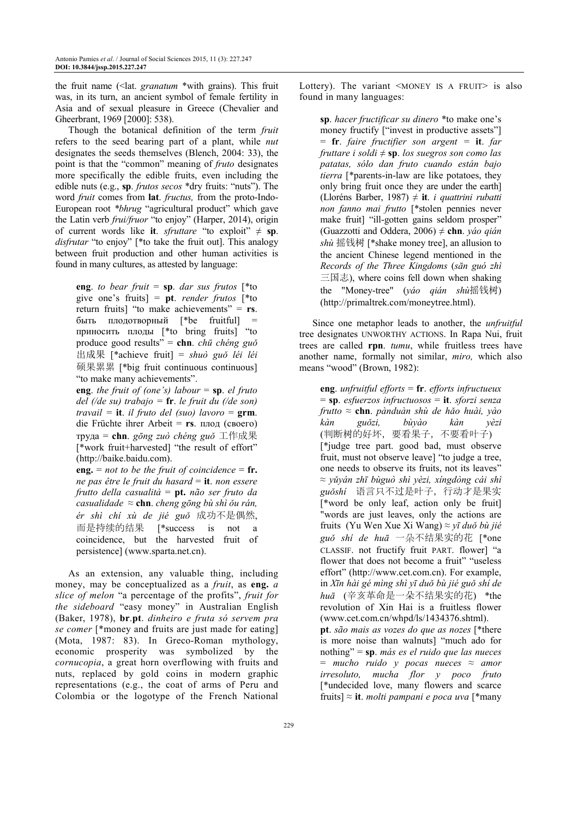the fruit name (<lat. *granatum* \*with grains). This fruit was, in its turn, an ancient symbol of female fertility in Asia and of sexual pleasure in Greece (Chevalier and Gheerbrant, 1969 [2000]: 538).

Though the botanical definition of the term *fruit* refers to the seed bearing part of a plant, while *nut* designates the seeds themselves (Blench, 2004: 33), the point is that the "common" meaning of *fruto* designates more specifically the edible fruits, even including the edible nuts (e.g., **sp**. *frutos secos* \*dry fruits: "nuts"). The word *fruit* comes from **lat**. *fructus,* from the proto-Indo-European root *\*bhrug* "agricultural product" which gave the Latin verb *frui/fruor* "to enjoy" (Harper, 2014), origin of current words like **it**. *sfruttare* "to exploit"  $\neq$  sp. *disfrutar* "to enjoy" [\*to take the fruit out]. This analogy between fruit production and other human activities is found in many cultures, as attested by language:

**eng**. *to bear fruit* = **sp**. *dar sus frutos* [\*to give one's fruits] = **pt**. *render frutos* [\*to return fruits] "to make achievements" = **rs**. быть плодотворный [\*be fruitful] = приносить плоды [\*to bring fruits] "to produce good results" = **chn**. *chū chéng guǒ*  出成果 [\*achieve fruit] = *shuò guǒ léi léi*  硕果累累 [\*big fruit continuous continuous] "to make many achievements".

**eng**. *the fruit of (one's) labour*  $=$  **sp**. *el fruto del (/de su) trabajo =* **fr**. *le fruit du (/de son) travail =* **it**. *il fruto del (suo) lavoro* = **grm**. die Früchte ihrer Arbeit = **rs**. плод (своего) труда = **chn**. *gōng zuò chéng guǒ* 工作成果 [\*work fruit+harvested] "the result of effort" (http://baike.baidu.com).

 $eng. = not to be the fruit of coincidence = fr.$ *ne pas être le fruit du hasard* = **it**. *non essere frutto della casualità* = **pt.** *não ser fruto da casualidade ≈* **chn**. *cheng gōng bù shì ǒu rán, ér shì chí xù de jié guǒ* 成功不是偶然, 而是持续的结果 [\*success is not a coincidence, but the harvested fruit of persistence] (www.sparta.net.cn).

As an extension, any valuable thing, including money, may be conceptualized as a *fruit*, as **eng.** *a slice of melon* "a percentage of the profits", *fruit for the sideboard* "easy money" in Australian English (Baker, 1978), **br**.**pt**. *dinheiro e fruta só servem pra se comer* [\*money and fruits are just made for eating] (Mota, 1987: 83). In Greco-Roman mythology, economic prosperity was symbolized by the *cornucopia*, a great horn overflowing with fruits and nuts, replaced by gold coins in modern graphic representations (e.g., the coat of arms of Peru and Colombia or the logotype of the French National

Lottery). The variant  $\leq$ MONEY IS A FRUIT> is also found in many languages:

**sp**. *hacer fructificar su dinero* \*to make one's money fructify ["invest in productive assets"] = **fr**. *faire fructifier son argent =* **it**. *far fruttare i soldi* ≠ **sp**. *los suegros son como las patatas, sólo dan fruto cuando están bajo tierra* [\*parents-in-law are like potatoes, they only bring fruit once they are under the earth] (Lloréns Barber, 1987) ≠ **it**. *i quattrini rubatti non fanno mai frutto* [\*stolen pennies never make fruit] "ill-gotten gains seldom prosper" (Guazzotti and Oddera, 2006) *≠* **chn**. *yáo qián shù* 摇钱树 [\*shake money tree], an allusion to the ancient Chinese legend mentioned in the *Records of the Three Kingdoms* (*sān guó zhì*  三国志), where coins fell down when shaking the "Money-tree" (*yáo qián shù*摇钱树) (http://primaltrek.com/moneytree.html).

Since one metaphor leads to another, the *unfruitful*  tree designates UNWORTHY ACTIONS. In Rapa Nui, fruit trees are called **rpn**. *tumu*, while fruitless trees have another name, formally not similar, *miro,* which also means "wood" (Brown, 1982):

**eng**. *unfruitful efforts* = **fr**. *efforts infructueux* = **sp**. *esfuerzos infructuosos* = **it**. *sforzi senza frutto ≈* **chn**. *pànduàn shù de hǎo huài, yào kàn guǒzi, bùyào kàn yèzi* (判断树的好坏,要看果子,不要看叶子) [\*judge tree part. good bad, must observe fruit, must not observe leave] "to judge a tree, one needs to observe its fruits, not its leaves" *≈ yǔyán zhī bùguò shì yèzi, xíngdòng cái shì guǒshí* 语言只不过是叶子,行动才是果实 [\*word be only leaf, action only be fruit] "words are just leaves, only the actions are fruits (Yu Wen Xue Xi Wang) *≈ yī duǒ bù jié guǒ shí de huā* 一朵不结果实的花 [\*one CLASSIF. not fructify fruit PART. flower] "a flower that does not become a fruit" "useless effort" (http://www.cet.com.cn). For example, in *Xīn hài gé mìng shì yī duǒ bù jié guǒ shí de huā* (辛亥革命是一朵不结果实的花) \*the revolution of Xin Hai is a fruitless flower (www.cet.com.cn/whpd/ls/1434376.shtml). **pt**. *são mais as vozes do que as nozes* [\*there is more noise than walnuts] "much ado for nothing" = **sp**. *más es el ruido que las nueces* = *mucho ruido y pocas nueces* ≈ *amor irresoluto, mucha flor y poco fruto*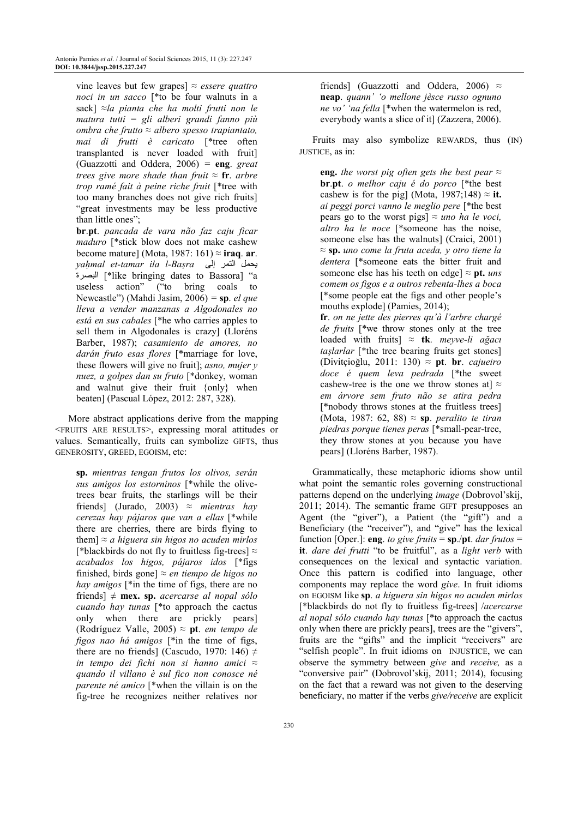vine leaves but few grapes] ≈ *essere quattro noci in un sacco* [\*to be four walnuts in a sack] *≈la pianta che ha molti frutti non le matura tutti* = *gli alberi grandi fanno più ombra che frutto ≈ albero spesso trapiantato, mai di frutti è caricato* [\*tree often transplanted is never loaded with fruit] (Guazzotti and Oddera, 2006) *=* **eng**. *great trees give more shade than fruit ≈* **fr**. *arbre trop ramé fait à peine riche fruit* [\*tree with too many branches does not give rich fruits] "great investments may be less productive than little ones";

**br**.**pt**. *pancada de vara não faz caju ficar maduro* [\*stick blow does not make cashew become mature] (Mota, 1987: 161) *≈* **iraq**. **ar**. *yahmal et-tamar ila l-Basra* إيحمل التمر إلى ةpxynا\*] like bringing dates to Bassora] "a useless action" ("to bring coals to Newcastle") (Mahdi Jasim, 2006) *=* **sp**. *el que lleva a vender manzanas a Algodonales no está en sus cabales* [\*he who carries apples to sell them in Algodonales is crazy] (Lloréns Barber, 1987); *casamiento de amores, no darán fruto esas flores* [\*marriage for love, these flowers will give no fruit]; *asno, mujer y nuez, a golpes dan su fruto* [\*donkey, woman and walnut give their fruit {only} when beaten] (Pascual López, 2012: 287, 328).

More abstract applications derive from the mapping <FRUITS ARE RESULTS>, expressing moral attitudes or values. Semantically, fruits can symbolize GIFTS, thus GENEROSITY, GREED, EGOISM, etc:

**sp.** *mientras tengan frutos los olivos, serán sus amigos los estorninos* [\*while the olivetrees bear fruits, the starlings will be their friends] (Jurado, 2003) ≈ *mientras hay cerezas hay pájaros que van a ellas* [\*while there are cherries, there are birds flying to them] ≈ *a higuera sin higos no acuden mirlos* [\*blackbirds do not fly to fruitless fig-trees]  $\approx$ *acabados los higos, pájaros idos* [\*figs finished, birds gone] ≈ *en tiempo de higos no hay amigos* [\*in the time of figs, there are no friends] ≠ **mex. sp.** *acercarse al nopal sólo cuando hay tunas* [\*to approach the cactus only when there are prickly pears] (Rodríguez Valle, 2005) ≈ **pt**. *em tempo de figos nao há amigos* [\*in the time of figs, there are no friends] (Cascudo, 1970: 146)  $\neq$ *in tempo dei fichi non si hanno amici* ≈ *quando il villano è sul fico non conosce né parente né amico* [\*when the villain is on the fig-tree he recognizes neither relatives nor friends] (Guazzotti and Oddera, 2006)  $\approx$ **neap**. *quann' 'o mellone jèsce russo ognuno ne vo' 'na fella* [\*when the watermelon is red, everybody wants a slice of it] (Zazzera, 2006).

Fruits may also symbolize REWARDS, thus (IN) JUSTICE, as in:

**eng.** *the worst pig often gets the best pear*  $\approx$ **br**.**pt**. *o melhor caju é do porco* [\*the best cashew is for the pig] (Mota,  $1987;148 \approx \text{i} \text{t}$ . *ai peggi porci vanno le meglio pere* [\*the best pears go to the worst pigs]  $\approx$  *uno ha le voci*, *altro ha le noce* [\*someone has the noise, someone else has the walnuts] (Craici, 2001) ≈ **sp.** *uno come la fruta aceda, y otro tiene la dentera* [\*someone eats the bitter fruit and someone else has his teeth on edge]  $\approx$  **pt.** *uns comem os figos e a outros rebenta-lhes a boca* [\*some people eat the figs and other people's mouths explode] (Pamies, 2014); **fr**. *on ne jette des pierres qu'à l'arbre chargé de fruits* [\*we throw stones only at the tree loaded with fruits] ≈ **tk**. *meyve-li ağacı taşlarlar* [\*the tree bearing fruits get stones] (Divitçioğlu, 2011: 130) ≈ **pt**. **br**. *cajueiro doce é quem leva pedrada* [\*the sweet cashew-tree is the one we throw stones at  $\approx$ *em árvore sem fruto não se atira pedra*  [\*nobody throws stones at the fruitless trees] (Mota, 1987: 62, 88) ≈ **sp**. *peralito te tiran piedras porque tienes peras* [\*small-pear-tree, they throw stones at you because you have pears] (Lloréns Barber, 1987).

Grammatically, these metaphoric idioms show until what point the semantic roles governing constructional patterns depend on the underlying *image* (Dobrovol'skij, 2011; 2014). The semantic frame GIFT presupposes an Agent (the "giver"), a Patient (the "gift") and a Beneficiary (the "receiver"), and "give" has the lexical function [Oper.]: **eng**. *to give fruits* = **sp**./**pt**. *dar frutos* = **it**. *dare dei frutti* "to be fruitful", as a *light verb* with consequences on the lexical and syntactic variation. Once this pattern is codified into language, other components may replace the word *give*. In fruit idioms on EGOISM like **sp**. *a higuera sin higos no acuden mirlos* [\*blackbirds do not fly to fruitless fig-trees] /*acercarse al nopal sólo cuando hay tunas* [\*to approach the cactus only when there are prickly pears], trees are the "givers", fruits are the "gifts" and the implicit "receivers" are "selfish people". In fruit idioms on INJUSTICE, we can observe the symmetry between *give* and *receive,* as a "conversive pair" (Dobrovol'skij, 2011; 2014), focusing on the fact that a reward was not given to the deserving beneficiary, no matter if the verbs *give/receive* are explicit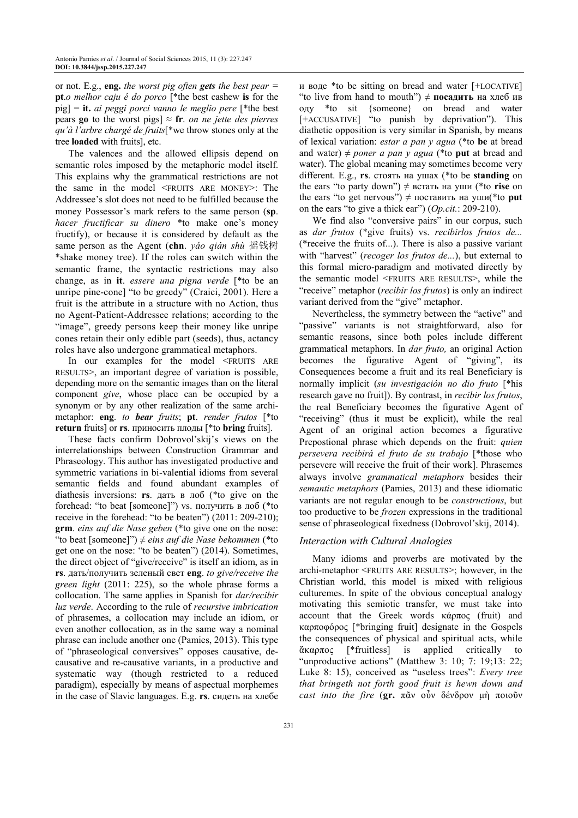or not. E.g., **eng.** *the worst pig often gets the best pear =*  **pt**.*o melhor caju é do porco* [\*the best cashew **is** for the pig] = **it.** *ai peggi porci vanno le meglio pere* [\*the best pears **go** to the worst pigs]  $\approx$  **fr**. *on ne jette des pierres qu'à l'arbre chargé de fruits*[\*we throw stones only at the tree **loaded** with fruits], etc.

The valences and the allowed ellipsis depend on semantic roles imposed by the metaphoric model itself. This explains why the grammatical restrictions are not the same in the model <FRUITS ARE MONEY>: The Addressee's slot does not need to be fulfilled because the money Possessor's mark refers to the same person (**sp**. *hacer fructificar su dinero* \*to make one's money fructify), or because it is considered by default as the same person as the Agent (**chn**. *yáo qián shù* 摇钱树 \*shake money tree). If the roles can switch within the semantic frame, the syntactic restrictions may also change, as in **it**. *essere una pigna verde* [\*to be an unripe pine-cone] "to be greedy" (Craici, 2001). Here a fruit is the attribute in a structure with no Action, thus no Agent-Patient-Addressee relations; according to the "image", greedy persons keep their money like unripe cones retain their only edible part (seeds), thus, actancy roles have also undergone grammatical metaphors.

In our examples for the model <FRUITS ARE RESULTS>, an important degree of variation is possible, depending more on the semantic images than on the literal component *give*, whose place can be occupied by a synonym or by any other realization of the same archimetaphor: **eng**. *to bear fruits*; **pt**. *render frutos* [\*to **return** fruits] or **rs**. приносить плоды [\*to **bring** fruits].

These facts confirm Dobrovol'skij's views on the interrelationships between Construction Grammar and Phraseology. This author has investigated productive and symmetric variations in bi-valential idioms from several semantic fields and found abundant examples of diathesis inversions: **rs**. дать в лоб (\*to give on the forehead: "to beat [someone]") vs. получить в лоб (\*to receive in the forehead: "to be beaten") (2011: 209-210); **grm**. *eins auf die Nase geben* (\*to give one on the nose: "to beat [someone]") ≠ *eins auf die Nase bekommen* (\*to get one on the nose: "to be beaten") (2014). Sometimes, the direct object of "give/receive" is itself an idiom, as in **rs**. дать/получить зеленый свет **eng**. *to give/receive the green light* (2011: 225), so the whole phrase forms a collocation. The same applies in Spanish for *dar/recibir luz verde*. According to the rule of *recursive imbrication* of phrasemes, a collocation may include an idiom, or even another collocation, as in the same way a nominal phrase can include another one (Pamies, 2013). This type of "phraseological conversives" opposes causative, decausative and re-causative variants, in a productive and systematic way (though restricted to a reduced paradigm), especially by means of aspectual morphemes in the case of Slavic languages. E.g. **rs**. сидеть на хлебе

и воде \*to be sitting on bread and water [+LOCATIVE] "to live from hand to mouth") ≠ **посадить** на хлеб ив оду \*to sit {someone} on bread and water [+ACCUSATIVE] "to punish by deprivation"). This diathetic opposition is very similar in Spanish, by means of lexical variation: *estar a pan y agua* (\*to **be** at bread and water)  $\neq$  *poner a pan y agua* (\*to **put** at bread and water). The global meaning may sometimes become very different. E.g., **rs**. стоять на ушах (\*to be **standing** on the ears "to party down") ≠ встать на уши (\*to **rise** on the ears "to get nervous") ≠ поставить на уши(\*to **put** on the ears "to give a thick ear") (*Op.cit.*: 209-210).

We find also "conversive pairs" in our corpus, such as *dar frutos* (\*give fruits) vs. *recibirlos frutos de...* (\*receive the fruits of...). There is also a passive variant with "harvest" (*recoger los frutos de...*), but external to this formal micro-paradigm and motivated directly by the semantic model <FRUITS ARE RESULTS>, while the "receive" metaphor (*recibir los frutos*) is only an indirect variant derived from the "give" metaphor.

Nevertheless, the symmetry between the "active" and "passive" variants is not straightforward, also for semantic reasons, since both poles include different grammatical metaphors. In *dar fruto,* an original Action becomes the figurative Agent of "giving", its Consequences become a fruit and its real Beneficiary is normally implicit (*su investigación no dio fruto* [\*his research gave no fruit]). By contrast, in *recibir los frutos*, the real Beneficiary becomes the figurative Agent of "receiving" (thus it must be explicit), while the real Agent of an original action becomes a figurative Prepostional phrase which depends on the fruit: *quien persevera recibirá el fruto de su trabajo* [\*those who persevere will receive the fruit of their work]. Phrasemes always involve *grammatical metaphors* besides their *semantic metaphors* (Pamies, 2013) and these idiomatic variants are not regular enough to be *constructions*, but too productive to be *frozen* expressions in the traditional sense of phraseological fixedness (Dobrovol'skij, 2014).

# *Interaction with Cultural Analogies*

Many idioms and proverbs are motivated by the archi-metaphor <FRUITS ARE RESULTS>; however, in the Christian world, this model is mixed with religious culturemes. In spite of the obvious conceptual analogy motivating this semiotic transfer, we must take into account that the Greek words κάρπος (fruit) and καρποφόρος [\*bringing fruit] designate in the Gospels the consequences of physical and spiritual acts, while ἄκαρπος [\*fruitless] is applied critically to "unproductive actions" (Matthew 3: 10; 7: 19;13: 22; Luke 8: 15), conceived as "useless trees": *Every tree that bringeth not forth good fruit is hewn down and cast into the fire* (**gr.** πᾶν οὖν δένδρον µὴ ποιοῦν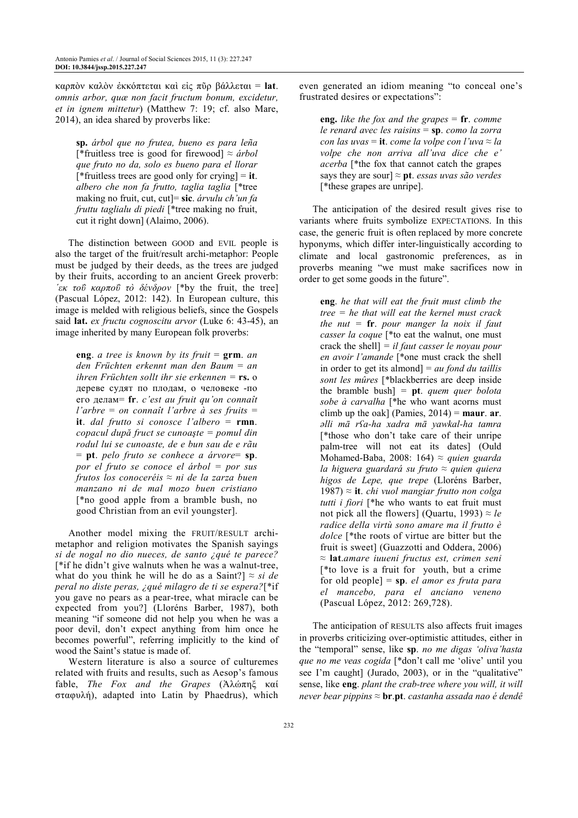καρπὸν καλὸν ἐκκόπτεται καὶ εἰς πῦρ βάλλεται = **lat**. *omnis arbor, quæ non facit fructum bonum, excidetur, et in ignem mittetur*) (Matthew 7: 19; cf. also Mare, 2014), an idea shared by proverbs like:

**sp.** *árbol que no frutea, bueno es para leña*  [\*fruitless tree is good for firewood] ≈ *árbol que fruto no da, solo es bueno para el llorar* [\*fruitless trees are good only for crying] = **it**. *albero che non fa frutto, taglia taglia* [\*tree making no fruit, cut, cut]= **sic**. *árvulu ch'un fa fruttu taglialu di piedi* [\*tree making no fruit, cut it right down] (Alaimo, 2006).

The distinction between GOOD and EVIL people is also the target of the fruit/result archi-metaphor: People must be judged by their deeds, as the trees are judged by their fruits, according to an ancient Greek proverb: *΄εκ τοΰ καρποΰ τò δένδρον* [\*by the fruit, the tree] (Pascual López, 2012: 142). In European culture, this image is melded with religious beliefs, since the Gospels said **lat.** *ex fructu cognoscitu arvor* (Luke 6: 43-45), an image inherited by many European folk proverbs:

**eng**. *a tree is known by its fruit* = **grm**. *an den Früchten erkennt man den Baum* = *an ihren Früchten sollt ihr sie erkennen =* **rs.** о дереве судят по плодам, о человеке -по его делам= **fr**. *c'est au fruit qu'on connaît l'arbre* = *on connaît l'arbre à ses fruits* = **it**. *dal frutto si conosce l'albero* = **rmn**. *copacul după fruct se cunoaşte = pomul din rodul lui se cunoaste, de e bun sau de e rãu* = **pt**. *pelo fruto se conhece a árvore*= **sp**. *por el fruto se conoce el árbol = por sus frutos los conoceréis* ≈ *ni de la zarza buen manzano ni de mal mozo buen cristiano* [\*no good apple from a bramble bush, no good Christian from an evil youngster].

Another model mixing the FRUIT/RESULT archimetaphor and religion motivates the Spanish sayings *si de nogal no dio nueces, de santo ¿qué te parece?* [\*if he didn't give walnuts when he was a walnut-tree, what do you think he will he do as a Saint?]  $\approx$  *si de peral no diste peras, ¿qué milagro de ti se espera?*[\*if you gave no pears as a pear-tree, what miracle can be expected from you?] (Lloréns Barber, 1987), both meaning "if someone did not help you when he was a poor devil, don't expect anything from him once he becomes powerful", referring implicitly to the kind of wood the Saint's statue is made of.

Western literature is also a source of culturemes related with fruits and results, such as Aesop's famous fable, *The Fox and the Grapes* (Ἀλώπηξ καί σταφυλή), adapted into Latin by Phaedrus), which even generated an idiom meaning "to conceal one's frustrated desires or expectations":

**eng.** *like the fox and the grapes* = **fr**. *comme le renard avec les raisins* = **sp**. *como la zorra con las uvas* = **it**. *come la volpe con l'uva* ≈ *la volpe che non arriva all'uva dice che e' acerba* [\*the fox that cannot catch the grapes says they are sour] *≈* **pt**. *essas uvas são verdes*  [\*these grapes are unripe].

The anticipation of the desired result gives rise to variants where fruits symbolize EXPECTATIONS. In this case, the generic fruit is often replaced by more concrete hyponyms, which differ inter-linguistically according to climate and local gastronomic preferences, as in proverbs meaning "we must make sacrifices now in order to get some goods in the future".

**eng**. *he that will eat the fruit must climb the tree = he that will eat the kernel must crack the nut =* **fr**. *pour manger la noix il faut casser la coque* [\*to eat the walnut, one must crack the shell] *= il faut casser le noyau pour en avoir l'amande* [\*one must crack the shell in order to get its almond] = *au fond du taillis sont les mûres* [\*blackberries are deep inside the bramble bush] *=* **pt**. *quem quer bolota sobe à carvalha* [\*he who want acorns must climb up the oak] (Pamies, 2014) = **maur**. **ar**. *əlli mā rʕa-ha xadra mā yawkal-ha tamra* [\*those who don't take care of their unripe palm-tree will not eat its dates] (Ould Mohamed-Baba, 2008: 164) ≈ *quien guarda la higuera guardará su fruto* ≈ *quien quiera higos de Lepe, que trepe* (Lloréns Barber, 1987) ≈ **it**. *chi vuol mangiar frutto non colga tutti i fiori* [\*he who wants to eat fruit must not pick all the flowers] (Quartu, 1993)  $\approx$  *le radice della virtù sono amare ma il frutto è dolce* [\*the roots of virtue are bitter but the fruit is sweet] (Guazzotti and Oddera, 2006) ≈ **lat**.*amare iuueni fructus est, crimen seni* [\*to love is a fruit for youth, but a crime for old people] = **sp**. *el amor es fruta para el mancebo, para el anciano veneno* (Pascual López, 2012: 269,728).

The anticipation of RESULTS also affects fruit images in proverbs criticizing over-optimistic attitudes, either in the "temporal" sense, like **sp**. *no me digas 'oliva'hasta que no me veas cogida* [\*don't call me 'olive' until you see I'm caught] (Jurado, 2003), or in the "qualitative" sense, like **eng**. *plant the crab-tree where you will, it will never bear pippins* ≈ **br**.**pt**. *castanha assada nao é dendê*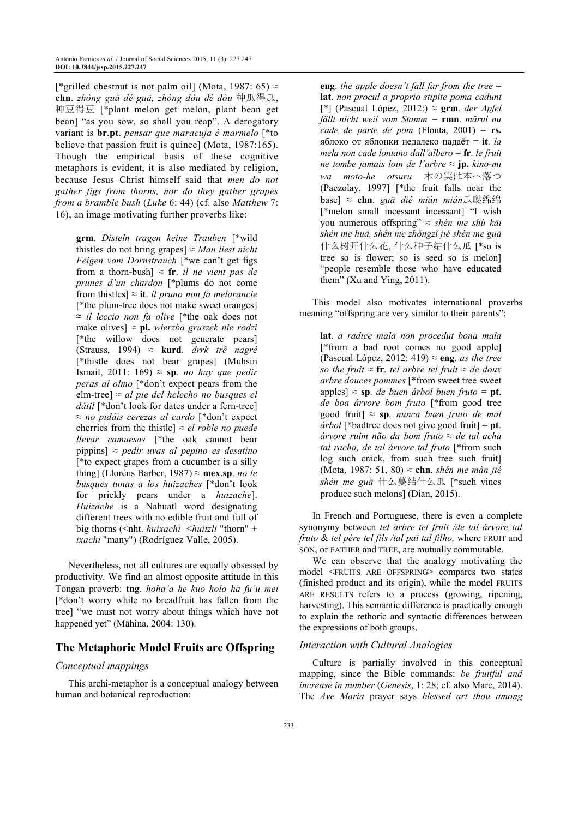[\*grilled chestnut is not palm oil] (Mota, 1987: 65)  $\approx$ **chn**. *zhòng guā dé guā, zhòng dòu dé dòu* 种瓜得瓜, 种豆得豆 [\*plant melon get melon, plant bean get bean] "as you sow, so shall you reap". A derogatory variant is **br**.**pt**. *pensar que maracuja é marmelo* [\*to believe that passion fruit is quince] (Mota, 1987:165). Though the empirical basis of these cognitive metaphors is evident, it is also mediated by religion, because Jesus Christ himself said that *men do not gather figs from thorns, nor do they gather grapes from a bramble bush* (*Luke* 6: 44) (cf. also *Matthew* 7: 16), an image motivating further proverbs like:

**grm**. *Disteln tragen keine Trauben* [\*wild thistles do not bring grapes]  $\approx$  *Man liest nicht Feigen vom Dornstrauch* [\*we can't get figs from a thorn-bush]  $\approx$  **fr**. *il ne vient pas de prunes d'un chardon* [\*plums do not come from thistles] ≈ **it**. *il pruno non fa melarancie* [\*the plum-tree does not make sweet oranges] **≈** *il leccio non fa olive* [\*the oak does not make olives] ≈ **pl.** *wierzba gruszek nie rodzi*  [\*the willow does not generate pears] (Strauss, 1994) ≈ **kurd**. *drrk trê nagrê* [\*thistle does not bear grapes] (Muhsin Ismail, 2011: 169) ≈ **sp**. *no hay que pedir peras al olmo* [\*don't expect pears from the elm-tree] ≈ *al pie del helecho no busques el dátil* [\*don't look for dates under a fern-tree] ≈ *no pidáis cerezas al cardo* [\*don't expect cherries from the thistle]  $\approx$  *el roble no puede llevar camuesas* [\*the oak cannot bear pippins] ≈ *pedir uvas al pepino es desatino* [\*to expect grapes from a cucumber is a silly thing] (Lloréns Barber, 1987) ≈ **mex**.**sp**. *no le busques tunas a los huizaches* [\*don't look for prickly pears under a *huizache*]. *Huizache* is a Nahuatl word designating different trees with no edible fruit and full of big thorns (<nht. *huixachi* <*huitzli* "thorn" + *ixachi* "many") (Rodríguez Valle, 2005).

Nevertheless, not all cultures are equally obsessed by productivity. We find an almost opposite attitude in this Tongan proverb: **tng**. *hoha'a he kuo holo ha fu'u mei* [\*don't worry while no breadfruit has fallen from the tree] "we must not worry about things which have not happened yet" (Māhina, 2004: 130).

# **The Metaphoric Model Fruits are Offspring**

# *Conceptual mappings*

This archi-metaphor is a conceptual analogy between human and botanical reproduction:

**eng**. *the apple doesn't fall far from the tree* = **lat**. *non procul a proprio stipite poma cadunt* [\*] (Pascual López, 2012:) ≈ **grm**. *der Apfel fällt nicht weil vom Stamm =* **rmn**. *mărul nu cade de parte de pom* (Flonta, 2001) = **rs.**  яблоко от яблонки недалеко падаёт = **it**. *la mela non cade lontano dall'albero* = **fr**. *le fruit ne tombe jamais loin de l'arbre* ≈ **jp.** *kino-mi wa moto-he otsuru* 木の実は本へ落つ (Paczolay, 1997] [\*the fruit falls near the base] ≈ **chn**. *guā dié mián mián*瓜瓞绵绵 [\*melon small incessant incessant] "I wish you numerous offspring" ≈ *shén me shù kāi shén me huā, shén me zhǒngzǐ jié shén me guā*  什么树开什么花, 什么种子结什么瓜 [\*so is tree so is flower; so is seed so is melon] "people resemble those who have educated them" (Xu and Ying, 2011).

This model also motivates international proverbs meaning "offspring are very similar to their parents":

**lat**. *a radice mala non procedut bona mala* [\*from a bad root comes no good apple] (Pascual López, 2012: 419) ≈ **eng**. *as the tree so the fruit*  $\approx$  **fr**. *tel arbre tel fruit*  $\approx$  *de doux arbre douces pommes* [\*from sweet tree sweet apples]  $\approx$  **sp**. *de buen árbol buen fruto* = **pt**. *de boa árvore bom fruto* [\*from good tree good fruit] ≈ **sp**. *nunca buen fruto de mal árbol* [\*badtree does not give good fruit] = **pt**. *árvore ruim não da bom fruto* ≈ *de tal acha tal racha, de tal árvore tal fruto* [\*from such log such crack, from such tree such fruit] (Mota, 1987: 51, 80) ≈ **chn**. *shén me màn jié shén me guā* 什么蔓结什么瓜 [\*such vines produce such melons] (Dian, 2015).

In French and Portuguese, there is even a complete synonymy between *tel arbre tel fruit /de tal árvore tal fruto* & *tel père tel fils /tal pai tal filho,* where FRUIT and SON, or FATHER and TREE, are mutually commutable.

We can observe that the analogy motivating the model <FRUITS ARE OFFSPRING> compares two states (finished product and its origin), while the model FRUITS ARE RESULTS refers to a process (growing, ripening, harvesting). This semantic difference is practically enough to explain the rethoric and syntactic differences between the expressions of both groups.

#### *Interaction with Cultural Analogies*

Culture is partially involved in this conceptual mapping, since the Bible commands: *be fruitful and increase in number* (*Genesis*, 1: 28; cf. also Mare, 2014). The *Ave Maria* prayer says *blessed art thou among*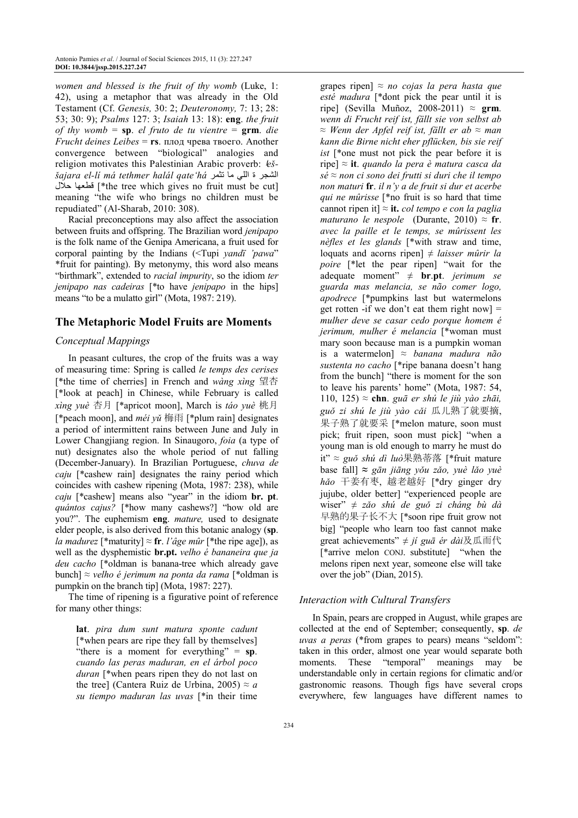*women and blessed is the fruit of thy womb* (Luke, 1: 42), using a metaphor that was already in the Old Testament (Cf. *Genesis,* 30: 2; *Deuteronomy,* 7: 13; 28: 53; 30: 9); *Psalms* 127: 3; *Isaiah* 13: 18): **eng**. *the fruit of thy womb* = **sp**. *el fruto de tu vientre* = **grm**. *die Frucht deines Leibes* = **rs**. плод чрева твоего. Another convergence between "biological" analogies and religion motivates this Palestinian Arabic proverb:  $e\zeta$ *šajara el-li má tethmer halál qate'há* الشجر ة اللي ما تثمر the tree which gives no fruit must be cut] فطعها حلال meaning "the wife who brings no children must be repudiated" (Al-Sharab, 2010: 308).

Racial preconceptions may also affect the association between fruits and offspring. The Brazilian word *jenipapo* is the folk name of the Genipa Americana, a fruit used for corporal painting by the Indians (<Tupi *yandï 'pawa*" \*fruit for painting). By metonymy, this word also means "birthmark", extended to *racial impurity*, so the idiom *ter jenipapo nas cadeiras* [\*to have *jenipapo* in the hips] means "to be a mulatto girl" (Mota, 1987: 219).

# **The Metaphoric Model Fruits are Moments**

# *Conceptual Mappings*

In peasant cultures, the crop of the fruits was a way of measuring time: Spring is called *le temps des cerises* [\*the time of cherries] in French and *wàng xìng* 望杏 [\*look at peach] in Chinese, while February is called *xìng yuè* 杏月 [\*apricot moon], March is *táo yuè* 桃月 [\*peach moon], and *méi yǔ* 梅雨 [\*plum rain] designates a period of intermittent rains between June and July in Lower Changjiang region. In Sinaugoro, *foia* (a type of nut) designates also the whole period of nut falling (December-January). In Brazilian Portuguese, *chuva de caju* [\*cashew rain] designates the rainy period which coincides with cashew ripening (Mota, 1987: 238), while *caju* [\*cashew] means also "year" in the idiom **br. pt**. *quántos cajus?* [\*how many cashews?] "how old are you?". The euphemism **eng**. *mature,* used to designate elder people, is also derived from this botanic analogy (**sp**. *la madurez* [\*maturity]  $\approx$  fr. *l'âge mûr* [\*the ripe age]), as well as the dysphemistic **br.pt.** *velho é bananeira que ja deu cacho* [\*oldman is banana-tree which already gave bunch] ≈ *velho é jerimum na ponta da rama* [\*oldman is pumpkin on the branch tip] (Mota, 1987: 227).

The time of ripening is a figurative point of reference for many other things:

**lat**. *pira dum sunt matura sponte cadunt* [\*when pears are ripe they fall by themselves] "there is a moment for everything" = **sp**. *cuando las peras maduran, en el árbol poco duran* [\*when pears ripen they do not last on the tree] (Cantera Ruiz de Urbina, 2005)  $\approx a$ *su tiempo maduran las uvas* [\*in their time

grapes ripen] ≈ *no cojas la pera hasta que esté madura* [\*dont pick the pear until it is ripe] (Sevilla Muñoz, 2008-2011) ≈ **grm**. *wenn di Frucht reif ist, fällt sie von selbst ab* ≈ *Wenn der Apfel reif ist, fällt er ab* ≈ *man kann die Birne nicht eher pflücken, bis sie reif ist* [\*one must not pick the pear before it is ripe] ≈ **it**. *quando la pera è matura casca da sé* ≈ *non ci sono dei frutti si duri che il tempo non maturi* **fr**. *il n'y a de fruit si dur et acerbe qui ne mûrisse* [\*no fruit is so hard that time cannot ripen it] *≈* **it.** *col tempo e con la paglia maturano le nespole* (Durante, 2010)  $\approx$  fr. *avec la paille et le temps, se mûrissent les nèfles et les glands* [\*with straw and time, loquats and acorns ripen] ≠ *laisser mûrir la poire* [\*let the pear ripen] "wait for the adequate moment" ≠ **br**.**pt**. *jerimum se guarda mas melancia, se não comer logo, apodrece* [\*pumpkins last but watermelons get rotten -if we don't eat them right now  $=$ *mulher deve se casar cedo porque homem é jerimum, mulher é melancia* [\*woman must mary soon because man is a pumpkin woman is a watermelon] ≈ *banana madura não sustenta no cacho* [\*ripe banana doesn't hang from the bunch] "there is moment for the son to leave his parents' home" (Mota, 1987: 54, 110, 125) ≈ **chn**. *guā er shú le jiù yào zhāi, guǒ zi shú le jiù yào cǎi* 瓜儿熟了就要摘, 果子熟了就要采 [\*melon mature, soon must pick; fruit ripen, soon must pick] "when a young man is old enough to marry he must do it" ≈ *guǒ shú dì luò*果熟蒂落 [\*fruit mature base fall] **≈** *gān jiāng yǒu zǎo, yuè lǎo yuè hǎo* 干姜有枣, 越老越好 [\*dry ginger dry jujube, older better] "experienced people are wiser" ≠ *zǎo shú de guǒ zi cháng bù dà*  早熟的果子长不大 [\*soon ripe fruit grow not big] "people who learn too fast cannot make great achievements" ≠ *jí guā ér dài*及瓜而代 [\*arrive melon CONJ. substitute] "when the melons ripen next year, someone else will take over the job" (Dian, 2015).

# *Interaction with Cultural Transfers*

In Spain, pears are cropped in August, while grapes are collected at the end of September; consequently, **sp**. *de uvas a peras* (\*from grapes to pears) means "seldom": taken in this order, almost one year would separate both moments. These "temporal" meanings may be understandable only in certain regions for climatic and/or gastronomic reasons. Though figs have several crops everywhere, few languages have different names to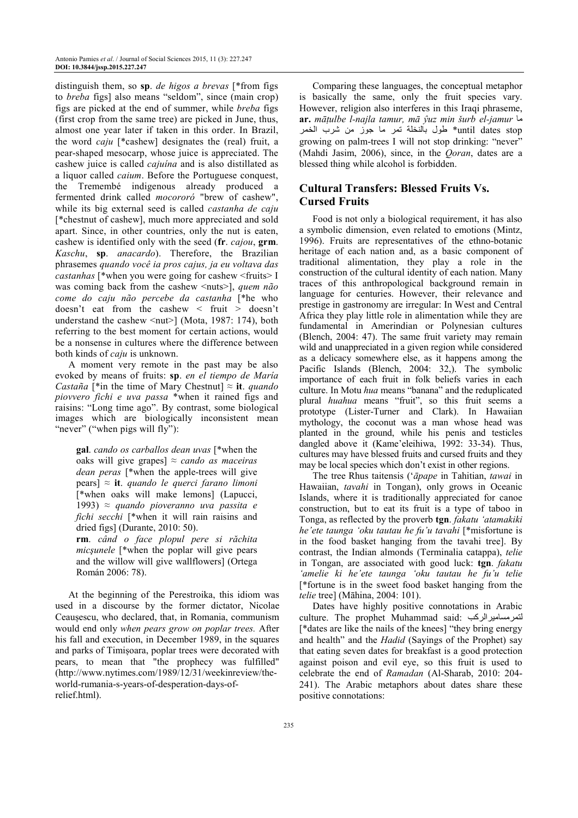distinguish them, so **sp**. *de higos a brevas* [\*from figs to *breba* figs] also means "seldom", since (main crop) figs are picked at the end of summer, while *breba* figs (first crop from the same tree) are picked in June, thus, almost one year later if taken in this order. In Brazil, the word *caju* [\*cashew] designates the (real) fruit, a pear-shaped mesocarp, whose juice is appreciated. The cashew juice is called *cajuína* and is also distillated as a liquor called *caium*. Before the Portuguese conquest, the Tremembé indigenous already produced a fermented drink called *mocororó* "brew of cashew", while its big external seed is called *castanha de caju* [\*chestnut of cashew], much more appreciated and sold apart. Since, in other countries, only the nut is eaten, cashew is identified only with the seed (**fr**. *cajou*, **grm**. *Kaschu*, **sp**. *anacardo*). Therefore, the Brazilian phrasemes *quando você ia pros cajus, ja eu voltava das castanhas* [\*when you were going for cashew <fruits> I was coming back from the cashew  $\langle \text{nuts} \rangle$ , *quem não come do caju não percebe da castanha* [\*he who doesn't eat from the cashew < fruit > doesn't understand the cashew  $\langle \text{nut} \rangle$  (Mota, 1987: 174), both referring to the best moment for certain actions, would be a nonsense in cultures where the difference between both kinds of *caju* is unknown.

A moment very remote in the past may be also evoked by means of fruits: **sp**. *en el tiempo de María Castaña* [\*in the time of Mary Chestnut]  $\approx$  **it**. *quando piovvero fichi e uva passa* \*when it rained figs and raisins: "Long time ago". By contrast, some biological images which are biologically inconsistent mean "never" ("when pigs will fly"):

**gal**. *cando os carballos dean uvas* [\*when the oaks will give grapes] ≈ *cando as maceiras dean peras* [\*when the apple-trees will give pears] ≈ **it**. *quando le querci farano limoni* [\*when oaks will make lemons] (Lapucci, 1993) ≈ *quando pioveranno uva passita e fichi secchi* [\*when it will rain raisins and dried figs] (Durante, 2010: 50).

**rm**. *când o face plopul pere si răchita micşunele* [\*when the poplar will give pears and the willow will give wallflowers] (Ortega Román 2006: 78).

At the beginning of the Perestroika, this idiom was used in a discourse by the former dictator, Nicolae Ceaușescu, who declared, that, in Romania, communism would end only *when pears grow on poplar trees.* After his fall and execution, in December 1989, in the squares and parks of Timișoara, poplar trees were decorated with pears, to mean that "the prophecy was fulfilled" (http://www.nytimes.com/1989/12/31/weekinreview/theworld-rumania-s-years-of-desperation-days-ofrelief.html).

Comparing these languages, the conceptual metaphor is basically the same, only the fruit species vary. However, religion also interferes in this Iraqi phraseme, **ar.** *māṭulbe l-najla tamur, mā ŷuz min šurb el-jamur* ±² until dates stop\* طول بالنخلة نمر ما جوز من شرب الخمر growing on palm-trees I will not stop drinking: "never" (Mahdi Jasim, 2006), since, in the *Qoran*, dates are a blessed thing while alcohol is forbidden.

# **Cultural Transfers: Blessed Fruits Vs. Cursed Fruits**

Food is not only a biological requirement, it has also a symbolic dimension, even related to emotions (Mintz, 1996). Fruits are representatives of the ethno-botanic heritage of each nation and, as a basic component of traditional alimentation, they play a role in the construction of the cultural identity of each nation. Many traces of this anthropological background remain in language for centuries. However, their relevance and prestige in gastronomy are irregular: In West and Central Africa they play little role in alimentation while they are fundamental in Amerindian or Polynesian cultures (Blench, 2004: 47). The same fruit variety may remain wild and unappreciated in a given region while considered as a delicacy somewhere else, as it happens among the Pacific Islands (Blench, 2004: 32,). The symbolic importance of each fruit in folk beliefs varies in each culture. In Motu *hua* means "banana" and the reduplicated plural *huahua* means "fruit", so this fruit seems a prototype (Lister-Turner and Clark). In Hawaiian mythology, the coconut was a man whose head was planted in the ground, while his penis and testicles dangled above it (Kame'eleihiwa, 1992: 33-34). Thus, cultures may have blessed fruits and cursed fruits and they may be local species which don't exist in other regions.

The tree Rhus taitensis ('*āpape* in Tahitian, *tawai* in Hawaiian, *tavahi* in Tongan), only grows in Oceanic Islands, where it is traditionally appreciated for canoe construction, but to eat its fruit is a type of taboo in Tonga, as reflected by the proverb **tgn**. *fakatu 'atamakiki he'ete taunga 'oku tautau he fu'u tavahi* [\*misfortune is in the food basket hanging from the tavahi tree]. By contrast, the Indian almonds (Terminalia catappa), *telie* in Tongan, are associated with good luck: **tgn**. *fakatu 'amelie ki he'ete taunga 'oku tautau he fu'u telie*  [\*fortune is in the sweet food basket hanging from the *telie* tree] (Māhina, 2004: 101).

Dates have highly positive connotations in Arabic culture. The prophet Muhammad said: لتمر مسامير الركب [\*dates are like the nails of the knees] "they bring energy and health" and the *Hadid* (Sayings of the Prophet) say that eating seven dates for breakfast is a good protection against poison and evil eye, so this fruit is used to celebrate the end of *Ramadan* (Al-Sharab, 2010: 204- 241). The Arabic metaphors about dates share these positive connotations: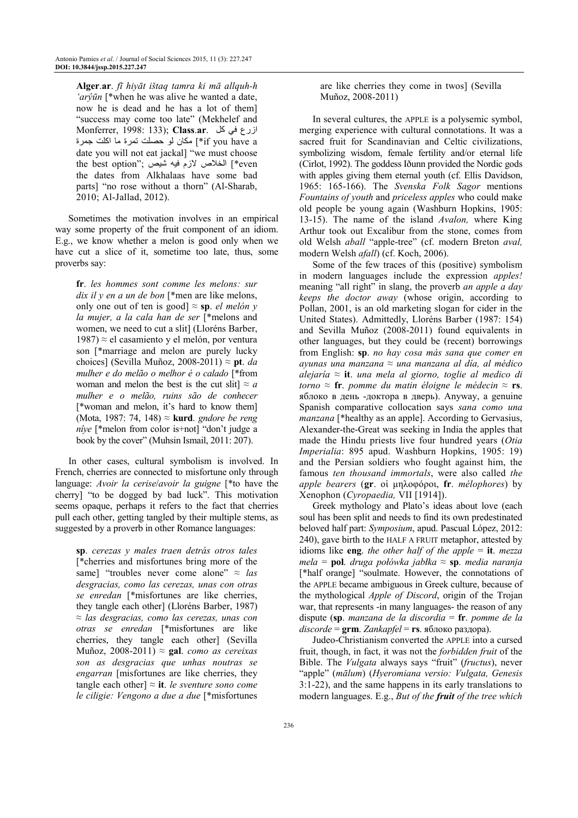**Alger**.**ar**. *fī hiyāt ištaq tamra ki mā allquh-h 'arŷūn* [\*when he was alive he wanted a date, now he is dead and he has a lot of them] "success may come too late" (Mekhelef and Monferrer, 1998: 133); **Class**.**ar**. tÀ ³Œ ازرع ة f you have a\*أ ] مكان لو حصلت نمرة ما اكلت جمرة date you will not eat jackal] "we must choose the best option"; الخلاص لازمّ فيه شيّص; '`` the dates from Alkhalaas have some bad parts] "no rose without a thorn" (Al-Sharab, 2010; Al-Jallad, 2012).

Sometimes the motivation involves in an empirical way some property of the fruit component of an idiom. E.g., we know whether a melon is good only when we have cut a slice of it, sometime too late, thus, some proverbs say:

**fr**. *les hommes sont comme les melons: sur dix il y en a un de bon* [\*men are like melons, only one out of ten is good] ≈ **sp**. *el melón y la mujer, a la cala han de ser* [\*melons and women, we need to cut a slit] (Lloréns Barber, 1987) ≈ el casamiento y el melón, por ventura son [\*marriage and melon are purely lucky choices] (Sevilla Muñoz, 2008-2011) ≈ **pt**. *da mulher e do melão o melhor é o calado* [\*from woman and melon the best is the cut slit $\approx a$ *mulher e o melão, ruins são de conhecer* [\*woman and melon, it's hard to know them] (Mota, 1987: 74, 148) ≈ **kurd**. *gndore be reng nîye* [\*melon from color is+not] "don't judge a book by the cover" (Muhsin Ismail, 2011: 207).

In other cases, cultural symbolism is involved. In French, cherries are connected to misfortune only through language: *Avoir la cerise*/*avoir la guigne* [\*to have the cherry] "to be dogged by bad luck". This motivation seems opaque, perhaps it refers to the fact that cherries pull each other, getting tangled by their multiple stems, as suggested by a proverb in other Romance languages:

**sp**. *cerezas y males traen detrás otros tales* [\*cherries and misfortunes bring more of the same] "troubles never come alone" ≈ *las desgracias, como las cerezas, unas con otras se enredan* [\*misfortunes are like cherries, they tangle each other] (Lloréns Barber, 1987) ≈ *las desgracias, como las cerezas, unas con otras se enredan* [\*misfortunes are like cherries, they tangle each other] (Sevilla Muñoz, 2008-2011) ≈ **gal**. *como as cereixas son as desgracias que unhas noutras se engarran* [misfortunes are like cherries, they tangle each other]  $\approx$  **it**. *le sventure sono come le ciligie: Vengono a due a due* [\*misfortunes are like cherries they come in twos] (Sevilla Muñoz, 2008-2011)

In several cultures, the APPLE is a polysemic symbol, merging experience with cultural connotations. It was a sacred fruit for Scandinavian and Celtic civilizations, symbolizing wisdom, female fertility and/or eternal life (Cirlot, 1992). The goddess Iðunn provided the Nordic gods with apples giving them eternal youth (cf. Ellis Davidson, 1965: 165-166). The *Svenska Folk Sagor* mentions *Fountains of youth* and *priceless apples* who could make old people be young again (Washburn Hopkins, 1905: 13-15). The name of the island *Avalon,* where King Arthur took out Excalibur from the stone, comes from old Welsh *aball* "apple-tree" (cf. modern Breton *aval,*  modern Welsh *afall*) (cf. Koch, 2006).

Some of the few traces of this (positive) symbolism in modern languages include the expression *apples!* meaning "all right" in slang, the proverb *an apple a day keeps the doctor away* (whose origin, according to Pollan, 2001, is an old marketing slogan for cider in the United States). Admittedly, Lloréns Barber (1987: 154) and Sevilla Muñoz (2008-2011) found equivalents in other languages, but they could be (recent) borrowings from English: **sp**. *no hay cosa más sana que comer en ayunas una manzana* ≈ *una manzana al día, al médico alejaría* ≈ **it**. *una mela al giorno, toglie al medico di torno* ≈ **fr**. *pomme du matin éloigne le médecin* ≈ **rs**. яблоко в день -доктора в дверь). Anyway, a genuine Spanish comparative collocation says *sana como una manzana* [\*healthy as an apple]. According to Gervasius, Alexander-the-Great was seeking in India the apples that made the Hindu priests live four hundred years (*Otia Imperialia*: 895 apud. Washburn Hopkins, 1905: 19) and the Persian soldiers who fought against him, the famous *ten thousand immortals*, were also called *the apple bearers* (**gr**. οἱ µηλοφόροι, **fr**. *mélophores*) by Xenophon (*Cyropaedia,* VII [1914]).

Greek mythology and Plato's ideas about love (each soul has been split and needs to find its own predestinated beloved half part: *Symposium*, apud. Pascual López, 2012: 240), gave birth to the HALF A FRUIT metaphor, attested by idioms like **eng**. *the other half of the apple* = **it**. *mezza mela* = **pol**. *druga połówka jabłka* ≈ **sp**. *media naranja* [\*half orange] "soulmate. However, the connotations of the APPLE became ambiguous in Greek culture, because of the mythological *Apple of Discord*, origin of the Trojan war, that represents -in many languages- the reason of any dispute (**sp**. *manzana de la discordia* = **fr**. *pomme de la discorde* = **grm**. *Zankapfel* = **rs**. яблоко раздора).

Judeo-Christianism converted the APPLE into a cursed fruit, though, in fact, it was not the *forbidden fruit* of the Bible. The *Vulgata* always says "fruit" (*fructus*), never "apple" (*mālum*) (*Hyeromiana versio: Vulgata, Genesis* 3:1-22), and the same happens in its early translations to modern languages. E.g., *But of the fruit of the tree which*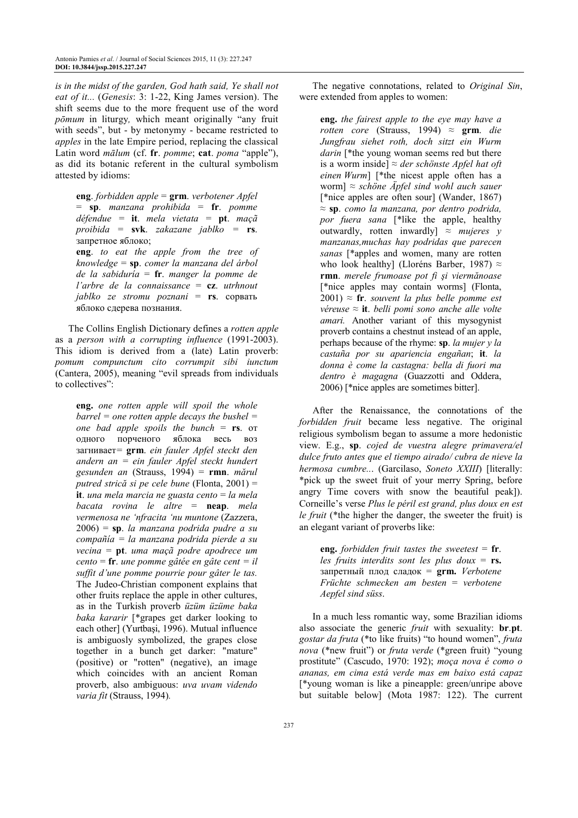*is in the midst of the garden, God hath said, Ye shall not eat of it...* (*Genesis*: 3: 1-22, King James version). The shift seems due to the more frequent use of the word *pōmum* in liturgy*,* which meant originally "any fruit with seeds", but - by metonymy - became restricted to *apples* in the late Empire period, replacing the classical Latin word *mālum* (cf. **fr**. *pomme*; **cat**. *poma* "apple"), as did its botanic referent in the cultural symbolism attested by idioms:

**eng**. *forbidden apple* = **grm**. *verbotener Apfel* = **sp**. *manzana prohibida* = **fr**. *pomme défendue =* **it**. *mela vietata =* **pt**. *maçã proibida* = **svk**. *zakazane jablko =* **rs**. запретное яблоко; **eng**. *to eat the apple from the tree of knowledge* = **sp**. *comer la manzana del árbol de la sabiduría* = **fr**. *manger la pomme de l'arbre de la connaissance* = **cz**. *utrhnout jablko ze stromu poznani* = **rs**. сорвать яблоко сдерева познания.

The Collins English Dictionary defines a *rotten apple* as a *person with a corrupting influence* (1991-2003). This idiom is derived from a (late) Latin proverb: *pomum compunctum cito corrumpit sibi iunctum* (Cantera, 2005), meaning "evil spreads from individuals to collectives":

**eng.** *one rotten apple will spoil the whole barrel = one rotten apple decays the bushel = one bad apple spoils the bunch* = **rs**. от одного порченого яблока весь воз загнивает*=* **grm**. *ein fauler Apfel steckt den andern an = ein fauler Apfel steckt hundert gesunden an* (Strauss, 1994) = **rmn**. *mărul putred strică si pe cele bune* (Flonta, 2001) = **it**. *una mela marcia ne guasta cento* = *la mela bacata rovina le altre* = **neap**. *mela vermenosa ne 'nfracita 'nu muntone* (Zazzera, 2006) = **sp**. *la manzana podrida pudre a su compañía = la manzana podrida pierde a su vecina* = **pt**. *uma maçã podre apodrece um cento* = **fr**. *une pomme gâtée en gâte cent = il suffit d'une pomme pourrie pour gâter le tas.* The Judeo-Christian component explains that other fruits replace the apple in other cultures, as in the Turkish proverb *üzüm üzüme baka baka kararir* [\*grapes get darker looking to each other] (Yurtbaşi, 1996). Mutual influence is ambiguosly symbolized, the grapes close together in a bunch get darker: "mature" (positive) or "rotten" (negative), an image which coincides with an ancient Roman proverb, also ambiguous: *uva uvam videndo varia fit* (Strauss, 1994)*.*

The negative connotations, related to *Original Sin*, were extended from apples to women:

**eng.** *the fairest apple to the eye may have a rotten core* (Strauss, 1994)  $\approx$  **grm**. *die Jungfrau siehet roth, doch sitzt ein Wurm*  darin [\*the young woman seems red but there is a worm inside] *≈ der schönste Apfel hat oft einen Wurm*] [\*the nicest apple often has a worm] *≈ schöne Äpfel sind wohl auch sauer* [\*nice apples are often sour] (Wander, 1867) ≈ **sp**. *como la manzana, por dentro podrida, por fuera sana* [\*like the apple, healthy outwardly, rotten inwardly]  $\approx$  *mujeres* y *manzanas,muchas hay podridas que parecen sanas* [\*apples and women, many are rotten who look healthy] (Lloréns Barber, 1987)  $\approx$ **rmn**. *merele frumoase pot fi şi viermănoase*  [\*nice apples may contain worms] (Flonta, 2001)  $\approx$  **fr**. *souvent la plus belle pomme est véreuse* ≈ **it**. *belli pomi sono anche alle volte amari.* Another variant of this mysogynist proverb contains a chestnut instead of an apple, perhaps because of the rhyme: **sp**. *la mujer y la castaña por su apariencia engañan*; **it**. *la donna è come la castagna: bella di fuori ma dentro è magagna* (Guazzotti and Oddera, 2006) [\*nice apples are sometimes bitter].

After the Renaissance, the connotations of the *forbidden fruit* became less negative. The original religious symbolism began to assume a more hedonistic view. E.g., **sp**. *cojed de vuestra alegre primavera/el dulce fruto antes que el tiempo airado/ cubra de nieve la hermosa cumbre..*. (Garcilaso, *Soneto XXIII*) [literally: \*pick up the sweet fruit of your merry Spring, before angry Time covers with snow the beautiful peak]). Corneille's verse *Plus le péril est grand, plus doux en est le fruit* (\*the higher the danger, the sweeter the fruit) is an elegant variant of proverbs like:

**eng.** *forbidden fruit tastes the sweetest* =  $fr$ . *les fruits interdits sont les plus doux* = **rs.**  запретный плод сладок = **grm.** *Verbotene Früchte schmecken am besten* = *verbotene Aepfel sind süss*.

In a much less romantic way, some Brazilian idioms also associate the generic *fruit* with sexuality: **br**.**pt**. *gostar da fruta* (\*to like fruits) "to hound women", *fruta nova* (\*new fruit") or *fruta verde* (\*green fruit) "young prostitute" (Cascudo, 1970: 192); *moça nova é como o ananas, em cima está verde mas em baixo está capaz* [\*young woman is like a pineapple: green/unripe above but suitable below] (Mota 1987: 122). The current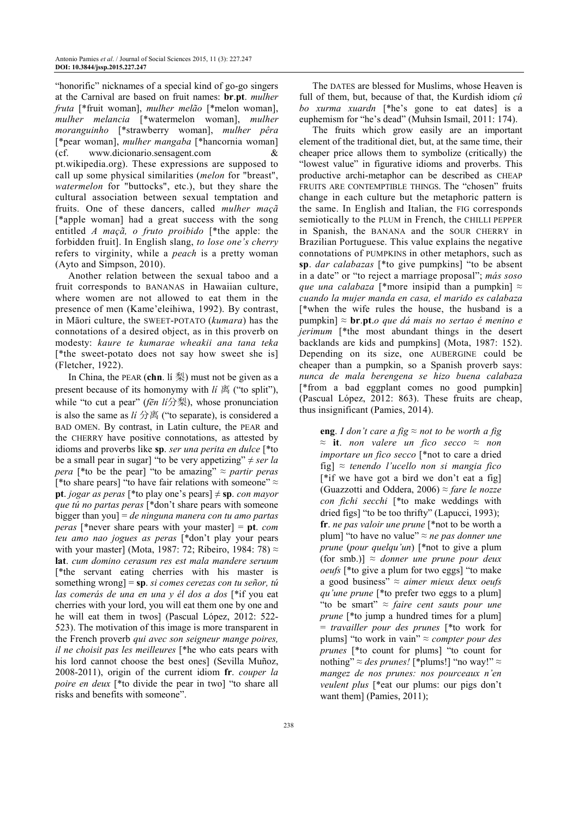"honorific" nicknames of a special kind of go-go singers at the Carnival are based on fruit names: **br**.**pt**. *mulher fruta* [\*fruit woman], *mulher melão* [\*melon woman], *mulher melancia* [\*watermelon woman], *mulher moranguinho* [\*strawberry woman], *mulher pêra*  [\*pear woman], *mulher mangaba* [\*hancornia woman] (cf. www.dicionario.sensagent.com & pt.wikipedia.org). These expressions are supposed to call up some physical similarities (*melon* for "breast", *watermelon* for "buttocks", etc.), but they share the cultural association between sexual temptation and fruits. One of these dancers, called *mulher maçã* [\*apple woman] had a great success with the song entitled *A maçã, o fruto proibido* [\*the apple: the forbidden fruit]. In English slang, *to lose one's cherry* refers to virginity, while a *peach* is a pretty woman (Ayto and Simpson, 2010).

Another relation between the sexual taboo and a fruit corresponds to BANANAS in Hawaiian culture, where women are not allowed to eat them in the presence of men (Kame'eleihiwa, 1992). By contrast, in Māori culture, the SWEET-POTATO (*kumara*) has the connotations of a desired object, as in this proverb on modesty: *kaure te kumarae wheakii ana tana teka*  [\*the sweet-potato does not say how sweet she is] (Fletcher, 1922).

In China, the PEAR (**chn**. lí 梨) must not be given as a present because of its homonymy with *lí* 离 ("to split"), while "to cut a pear" (*fēn lí*分梨), whose pronunciation is also the same as *lí* 分离 ("to separate), is considered a BAD OMEN. By contrast, in Latin culture, the PEAR and the CHERRY have positive connotations, as attested by idioms and proverbs like **sp**. *ser una perita en dulce* [\*to be a small pear in sugar] "to be very appetizing"  $\neq$  *ser la pera* [\*to be the pear] "to be amazing"  $\approx$  *partir peras* [\*to share pears] "to have fair relations with someone"  $\approx$ **pt**. *jogar as peras* [\*to play one's pears]  $\neq$  **sp**. *con mayor que tú no partas peras* [\*don't share pears with someone bigger than you] = *de ninguna manera con tu amo partas peras* [\*never share pears with your master] = **pt**. *com teu amo nao jogues as peras* [\*don't play your pears with your master] (Mota, 1987: 72; Ribeiro, 1984: 78)  $\approx$ **lat**. *cum domino cerasum res est mala mandere seruum* [\*the servant eating cherries with his master is something wrong] = **sp**. *si comes cerezas con tu señor, tú las comerás de una en una y él dos a dos* [\*if you eat cherries with your lord, you will eat them one by one and he will eat them in twos] (Pascual López, 2012: 522- 523). The motivation of this image is more transparent in the French proverb *qui avec son seigneur mange poires, il ne choisit pas les meilleures* [\*he who eats pears with his lord cannot choose the best ones] (Sevilla Muñoz, 2008-2011), origin of the current idiom **fr**. *couper la poire en deux* [\*to divide the pear in two] "to share all risks and benefits with someone".

The DATES are blessed for Muslims, whose Heaven is full of them, but, because of that, the Kurdish idiom *çû bo xurma xuardn* [\*he's gone to eat dates] is a euphemism for "he's dead" (Muhsin Ismail, 2011: 174).

The fruits which grow easily are an important element of the traditional diet, but, at the same time, their cheaper price allows them to symbolize (critically) the "lowest value" in figurative idioms and proverbs. This productive archi-metaphor can be described as CHEAP FRUITS ARE CONTEMPTIBLE THINGS. The "chosen" fruits change in each culture but the metaphoric pattern is the same. In English and Italian, the FIG corresponds semiotically to the PLUM in French, the CHILLI PEPPER in Spanish, the BANANA and the SOUR CHERRY in Brazilian Portuguese. This value explains the negative connotations of PUMPKINS in other metaphors, such as **sp**. *dar calabazas* [\*to give pumpkins] "to be absent in a date" or "to reject a marriage proposal"; *más soso que una calabaza* [\*more insipid than a pumpkin]  $\approx$ *cuando la mujer manda en casa, el marido es calabaza* [\*when the wife rules the house, the husband is a pumpkin] ≈ **br**.**pt**.*o que dá mais no sertao é menino e jerimum* [\*the most abundant things in the desert backlands are kids and pumpkins] (Mota, 1987: 152). Depending on its size, one AUBERGINE could be cheaper than a pumpkin, so a Spanish proverb says: *nunca de mala berengena se hizo buena calabaza* [\*from a bad eggplant comes no good pumpkin] (Pascual López, 2012: 863). These fruits are cheap, thus insignificant (Pamies, 2014).

**eng**. *I don't care a fig*  $\approx$  *not to be worth a fig* ≈ **it**. *non valere un fico secco* ≈ *non importare un fico secco* [\*not to care a dried fig] ≈ *tenendo l'ucello non si mangia fico* [\*if we have got a bird we don't eat a fig] (Guazzotti and Oddera, 2006) ≈ *fare le nozze con fichi secchi* [\*to make weddings with dried figs] "to be too thrifty" (Lapucci, 1993); **fr**. *ne pas valoir une prune* [\*not to be worth a plum] "to have no value" ≈ *ne pas donner une prune* (*pour quelqu'un*) [\*not to give a plum (for smb.)]  $\approx$  *donner une prune pour deux oeufs* [\*to give a plum for two eggs] "to make a good business" ≈ *aimer mieux deux oeufs qu'une prune* [\*to prefer two eggs to a plum] "to be smart" ≈ *faire cent sauts pour une prune* [\*to jump a hundred times for a plum] = *travailler pour des prunes* [\*to work for plums] "to work in vain" ≈ *compter pour des prunes* [\*to count for plums] "to count for nothing"  $\approx$  *des prunes!* [\*plums!] "no way!"  $\approx$ *mangez de nos prunes: nos pourceaux n'en veulent plus* [\*eat our plums: our pigs don't want them] (Pamies, 2011);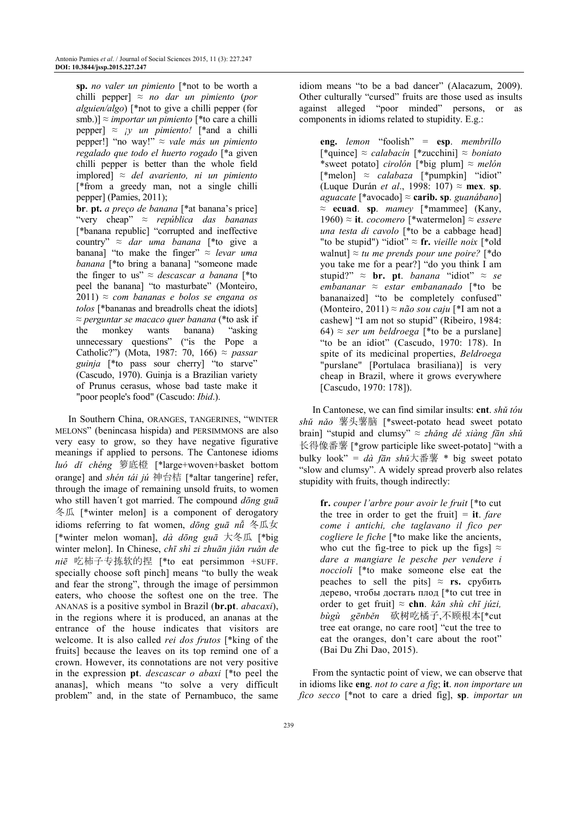**sp.** *no valer un pimiento* [\*not to be worth a chilli pepper]  $\approx$  *no dar un pimiento (por alguien/algo*) [\*not to give a chilli pepper (for smb.)] ≈ *importar un pimiento* [\*to care a chilli pepper]  $\approx$  *jy un pimiento!* [\*and a chilli pepper!] "no way!" ≈ *vale más un pimiento regalado que todo el huerto rogado* [\*a given chilli pepper is better than the whole field implored] ≈ *del avariento, ni un pimiento* [\*from a greedy man, not a single chilli pepper] (Pamies, 2011);

**br**. **pt.** *a preço de banana* [\*at banana's price] "very cheap" ≈ *república das bananas*  [\*banana republic] "corrupted and ineffective country" ≈ *dar uma banana* [\*to give a banana] "to make the finger" ≈ *levar uma banana* [\*to bring a banana] "someone made the finger to us"  $\approx$  *descascar a banana* [\*to peel the banana] "to masturbate" (Monteiro, 2011) ≈ *com bananas e bolos se engana os tolos* [\*bananas and breadrolls cheat the idiots] ≈ *perguntar se macaco quer banana* (\*to ask if the monkey wants banana) "asking unnecessary questions" ("is the Pope a Catholic?") (Mota, 1987: 70, 166) ≈ *passar guinja* [\*to pass sour cherry] "to starve" (Cascudo, 1970). Guinja is a Brazilian variety of Prunus cerasus, whose bad taste make it "poor people's food" (Cascudo: *Ibid*.).

In Southern China, ORANGES, TANGERINES, "WINTER MELONS" (benincasa hispida) and PERSIMMONS are also very easy to grow, so they have negative figurative meanings if applied to persons. The Cantonese idioms *luó dǐ chéng* 箩底橙 [\*large+woven+basket bottom orange] and *shén tái jú* 神台桔 [\*altar tangerine] refer, through the image of remaining unsold fruits, to women who still haven´t got married. The compound *dōng guā*  冬瓜 [\*winter melon] is a component of derogatory idioms referring to fat women, *dōng guā nǚ* 冬瓜女 [\*winter melon woman], *dà dōng guā* 大冬瓜 [\*big winter melon]. In Chinese, *chī shì zi zhuān jiǎn ruǎn de niē* 吃柿子专拣软的捏 [\*to eat persimmon +SUFF. specially choose soft pinch] means "to bully the weak and fear the strong", through the image of persimmon eaters, who choose the softest one on the tree. The ANANAS is a positive symbol in Brazil (**br.pt**. *abacaxi*), in the regions where it is produced, an ananas at the entrance of the house indicates that visitors are welcome. It is also called *rei dos frutos* [\*king of the fruits] because the leaves on its top remind one of a crown. However, its connotations are not very positive in the expression **pt**. *descascar o abaxi* [\*to peel the ananas], which means "to solve a very difficult problem" and, in the state of Pernambuco, the same

idiom means "to be a bad dancer" (Alacazum, 2009). Other culturally "cursed" fruits are those used as insults against alleged "poor minded" persons, or as components in idioms related to stupidity. E.g.:

**eng.** *lemon* "foolish" = **esp**. *membrillo* [\*quince] ≈ *calabacín* [\*zucchini] ≈ *boniato* \*sweet potato] *cirolón* [\*big plum] ≈ *melón* [\*melon] *≈ calabaza* [\*pumpkin] "idiot" (Luque Durán *et al*., 1998: 107) ≈ **mex**. **sp**. *aguacate* [\*avocado] ≈ **carib. sp**. *guanábano*] ≈ **ecuad**. **sp**. *mamey* [\*mammee] (Kany, 1960) ≈ **it**. *cocomero* [\*watermelon] ≈ *essere una testa di cavolo* [\*to be a cabbage head] "to be stupid") "idiot"  $\approx$  fr. *vieille noix* [\*old] walnut] ≈ *tu me prends pour une poire?* [\*do you take me for a pear?] "do you think I am stupid?"  $\approx$  **br.** pt. *banana* "idiot"  $\approx$  *se embananar* ≈ *estar embananado* [\*to be bananaized] "to be completely confused" (Monteiro, 2011) ≈ *não sou caju* [\*I am not a cashew] "I am not so stupid" (Ribeiro, 1984: 64)  $\approx$  *ser um beldroega* [\*to be a purslane] "to be an idiot" (Cascudo, 1970: 178). In spite of its medicinal properties, *Beldroega* "purslane" [Portulaca brasiliana)] is very cheap in Brazil, where it grows everywhere [Cascudo, 1970: 178]).

In Cantonese, we can find similar insults: **cnt**. *shǔ tóu shǔ nǎo* 薯头薯脑 [\*sweet-potato head sweet potato brain] "stupid and clumsy" ≈ *zhǎng dé xiàng fān shǔ*  长得像番薯 [\*grow participle like sweet-potato] "with a bulky look" = *dà fān shǔ*大番薯 \* big sweet potato "slow and clumsy". A widely spread proverb also relates stupidity with fruits, though indirectly:

**fr.** *couper l'arbre pour avoir le fruit* [\*to cut the tree in order to get the fruit]  $=$  **it**. *fare come i antichi, che taglavano il fico per cogliere le fiche* [\*to make like the ancients, who cut the fig-tree to pick up the figs]  $\approx$ *dare a mangiare le pesche per vendere i noccioli* [\*to make someone else eat the peaches to sell the pits] ≈ **rs.** срубить дерево, чтобы достать плод [\*to cut tree in order to get fruit] ≈ **chn**. *kǎn shù chī júzi, bùgù gēnběn* 砍树吃橘子,不顾根本[\*cut tree eat orange, no care root] "cut the tree to eat the oranges, don't care about the root" (Bai Du Zhi Dao, 2015).

From the syntactic point of view, we can observe that in idioms like **eng**. *not to care a fig*; **it**. *non importare un fico secco* [\*not to care a dried fig], **sp**. *importar un*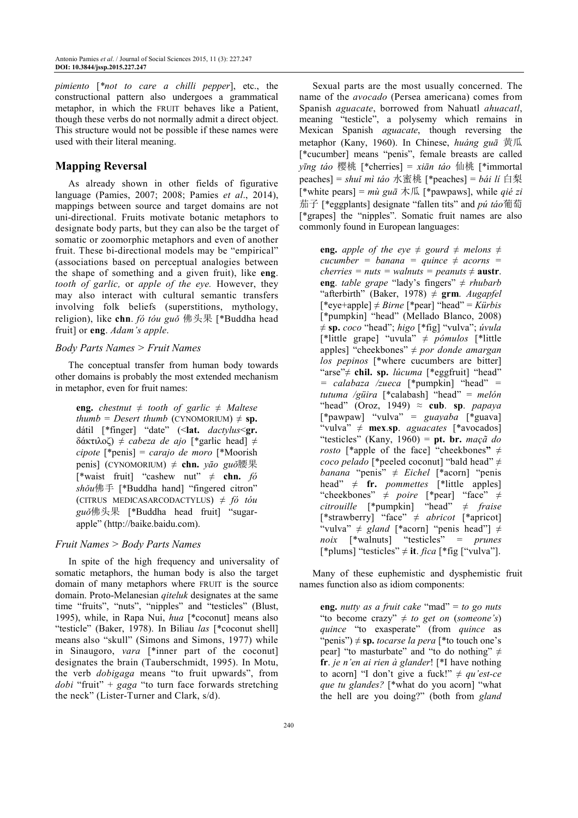*pimiento* [*\*not to care a chilli pepper*], etc., the constructional pattern also undergoes a grammatical metaphor, in which the FRUIT behaves like a Patient, though these verbs do not normally admit a direct object. This structure would not be possible if these names were used with their literal meaning.

# **Mapping Reversal**

As already shown in other fields of figurative language (Pamies, 2007; 2008; Pamies *et al*., 2014), mappings between source and target domains are not uni-directional. Fruits motivate botanic metaphors to designate body parts, but they can also be the target of somatic or zoomorphic metaphors and even of another fruit. These bi-directional models may be "empirical" (associations based on perceptual analogies between the shape of something and a given fruit), like **eng**. *tooth of garlic,* or *apple of the eye.* However, they may also interact with cultural semantic transfers involving folk beliefs (superstitions, mythology, religion), like **chn**. *fó tóu guǒ* 佛头果 [\*Buddha head fruit] or **eng**. *Adam's apple*.

# *Body Parts Names > Fruit Names*

The conceptual transfer from human body towards other domains is probably the most extended mechanism in metaphor, even for fruit names:

**eng.** *chestnut*  $\neq$  *tooth of garlic*  $\neq$  *Maltese*  $t$ *humb* = *Desert thumb* (CYNOMORIUM)  $\neq$  **sp.** dátil [\*finger] "date" (<**lat.** *dactylus*<**gr.**  δάκτιλοζ) ≠ *cabeza de ajo* [\*garlic head] *≠ cipote* [\*penis] = *carajo de moro* [\*Moorish penis] (CYNOMORIUM) *≠* **chn.** *yāo guǒ*腰果 [\*waist fruit] "cashew nut" *≠* **chn.** *fó shǒu*佛手 [\*Buddha hand] "fingered citron" (CITRUS MEDICASARCODACTYLUS) ≠ *fó tóu guǒ*佛头果 [\*Buddha head fruit] "sugarapple" (http://baike.baidu.com).

# *Fruit Names > Body Parts Names*

In spite of the high frequency and universality of somatic metaphors, the human body is also the target domain of many metaphors where FRUIT is the source domain. Proto-Melanesian *qiteluk* designates at the same time "fruits", "nuts", "nipples" and "testicles" (Blust, 1995), while, in Rapa Nui, *hua* [\*coconut] means also "testicle" (Baker, 1978). In Biliau *las* [\*coconut shell] means also "skull" (Simons and Simons, 1977) while in Sinaugoro, *vara* [\*inner part of the coconut] designates the brain (Tauberschmidt, 1995). In Motu, the verb *dobigaga* means "to fruit upwards", from *dobi* "fruit" + *gaga* "to turn face forwards stretching the neck" (Lister-Turner and Clark, s/d).

Sexual parts are the most usually concerned. The name of the *avocado* (Persea americana) comes from Spanish *aguacate*, borrowed from Nahuatl *ahuacatl*, meaning "testicle", a polysemy which remains in Mexican Spanish *aguacate*, though reversing the metaphor (Kany, 1960). In Chinese, *huáng guā* 黄瓜 [\*cucumber] means "penis", female breasts are called *yīng táo* 樱桃 [\*cherries] = *xiān táo* 仙桃 [\*immortal peaches] = *shuǐ mì táo* 水蜜桃 [\*peaches] = *bái lí* 白梨 [\*white pears] = *mù guā* 木瓜 [\*pawpaws], while *qié zi*  茄子 [\*eggplants] designate "fallen tits" and *pú táo*葡萄 [\*grapes] the "nipples". Somatic fruit names are also commonly found in European languages:

**eng.** *apple of the eye*  $\neq$  *gourd*  $\neq$  *melons*  $\neq$ *cucumber = banana = quince ≠ acorns = cherries = nuts = walnuts = peanuts*  $\neq$  *austr.* **eng**. *table grape* "lady's fingers" *≠ rhubarb*  "afterbirth" (Baker, 1978)  $\neq$  **grm**. *Augapfel* [\*eye+apple] *≠ Birne* [\*pear] "head" = *Kürbis*  [\*pumpkin] "head" (Mellado Blanco, 2008) *≠* **sp.** *coco* "head"; *higo* [\*fig] "vulva"; *úvula* [\*little grape] "uvula" *≠ pómulos* [\*little apples] "cheekbones" *≠ por donde amargan los pepinos* [\*where cucumbers are bitter] "arse"*≠* **chil. sp.** *lúcuma* [\*eggfruit] "head" *= calabaza /zueca* [\*pumpkin] "head" *= tutuma /güira* [\*calabash] "head" = *melón* "head" (Oroz, 1949)  $\approx$  **cub**. **sp**. *papaya* [\*pawpaw] "vulva" = *guayaba* [\*guava] "vulva" *≠* **mex**.**sp**. *aguacates* [\*avocados] "testicles" (Kany, 1960) = **pt. br.** *maçã do rosto* [\*apple of the face] "cheekbones**"** ≠ *coco pelado* [\*peeled coconut] "bald head" *≠ banana* "penis" *≠ Eichel* [\*acorn] "penis head"  $\neq$  **fr.** *pommettes* [\*little apples] "cheekbones" *≠ poire* [\*pear] "face" *≠ citrouille* [\*pumpkin] "head" *≠ fraise* [\*strawberry] "face" *≠ abricot* [\*apricot] "vulva" *≠ gland* [\*acorn] "penis head"] *≠ noix* [\*walnuts] "testicles" = *prunes*  $[*$ plums] "testicles"  $\neq$  **it**. *fica*  $[*$  fig  $["v$ ulva"].

Many of these euphemistic and dysphemistic fruit names function also as idiom components:

**eng.** *nutty as a fruit cake* "mad" = *to go nuts* "to become crazy" ≠ *to get on* (*someone's*) *quince* "to exasperate" (from *quince* as "penis")  $\neq$  **sp.** *tocarse la pera* [\*to touch one's pear] "to masturbate" and "to do nothing"  $\neq$ **fr**. *je n'en ai rien à glander*! [\*I have nothing to acorn] "I don't give a fuck!"  $\neq$  qu'est-ce *que tu glandes?* [\*what do you acorn] "what the hell are you doing?" (both from *gland*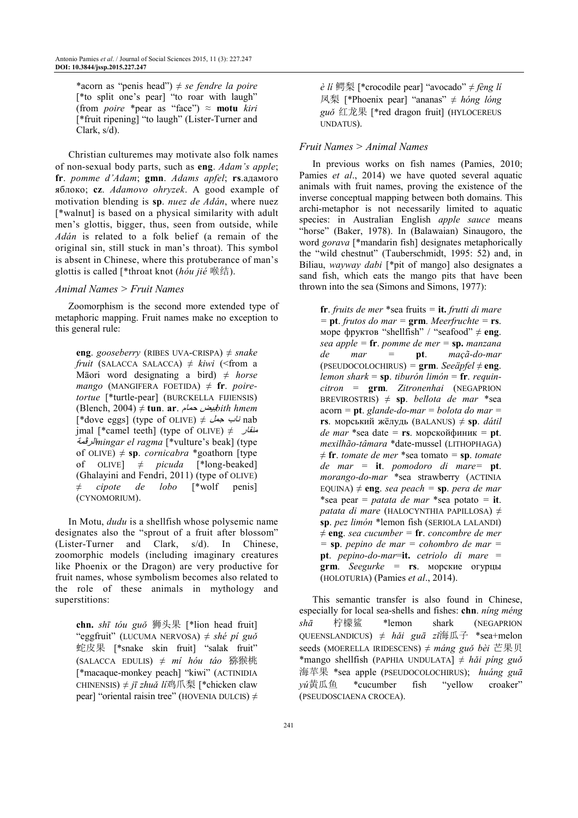\*acorn as "penis head") ≠ *se fendre la poire* [\*to split one's pear] "to roar with laugh" (from *poire* \*pear as "face") ≈ **motu** *kiri* [\*fruit ripening] "to laugh" (Lister-Turner and Clark, s/d).

Christian culturemes may motivate also folk names of non-sexual body parts, such as **eng**. *Adam's apple*; **fr**. *pomme d'Adam*; **gmn**. *Adams apfel*; **rs**.адамого яблоко; **cz**. *Adamovo ohryzek*. A good example of motivation blending is **sp**. *nuez de Adán*, where nuez [\*walnut] is based on a physical similarity with adult men's glottis, bigger, thus, seen from outside, while *Adán* is related to a folk belief (a remain of the original sin, still stuck in man's throat). This symbol is absent in Chinese, where this protuberance of man's glottis is called [\*throat knot (*hóu jié* 喉结).

### *Animal Names > Fruit Names*

Zoomorphism is the second more extended type of metaphoric mapping. Fruit names make no exception to this general rule:

**eng**. *gooseberry* (RIBES UVA-CRISPA) ≠ *snake fruit* (SALACCA SALACCA)  $\neq$  *kiwi* (<from a Māori word designating a bird) ≠ *horse*   $mango$  (MANGIFERA FOETIDA)  $\neq$  **fr**. *poiretortue* [\*turtle-pear] (BURCKELLA FIJIENSIS) (Blench, 2004) ≠ **tun**. **ar**. م±q¹ ‡Ã»*bith hmem*  $[ *dove eggs]$  (type of OLIVE)  $\neq \emptyset$  *-uu* nab jmal [\*camel teeth] (type of OLIVE)  $\neq$   $\frac{1}{2}$ pnا"Ʋ *mingar el ragma* [\*vulture's beak] (type of OLIVE)  $\neq$  **sp**. *cornicabra* \*goathorn [type of  $OLIVE$   $\neq$  *picuda* [\*long-beaked] (Ghalayini and Fendri, 2011) (type of OLIVE) ≠ *cipote de lobo* [\*wolf penis] (CYNOMORIUM).

In Motu, *dudu* is a shellfish whose polysemic name designates also the "sprout of a fruit after blossom" (Lister-Turner and Clark, s/d). In Chinese, zoomorphic models (including imaginary creatures like Phoenix or the Dragon) are very productive for fruit names, whose symbolism becomes also related to the role of these animals in mythology and superstitions:

**chn.** *shī tóu guǒ* 狮头果 [\*lion head fruit] "eggfruit" (LUCUMA NERVOSA) ≠ *shé pí guǒ*  蛇皮果 [\*snake skin fruit] "salak fruit" (SALACCA EDULIS) ≠ *mí hóu táo* 猕猴桃 [\*macaque-monkey peach] "kiwi" (ACTINIDIA CHINENSIS) ≠ *jī zhuǎ lí*鸡爪梨 [\*chicken claw pear] "oriental raisin tree" (HOVENIA DULCIS)  $\neq$  *è lí* 鳄梨 [\*crocodile pear] "avocado" ≠ *fèng lí*  凤梨 [\*Phoenix pear] "ananas" ≠ *hóng lóng guǒ* 红龙果 [\*red dragon fruit] (HYLOCEREUS UNDATUS).

### *Fruit Names > Animal Names*

In previous works on fish names (Pamies, 2010; Pamies *et al*., 2014) we have quoted several aquatic animals with fruit names, proving the existence of the inverse conceptual mapping between both domains. This archi-metaphor is not necessarily limited to aquatic species: in Australian English *apple sauce* means "horse" (Baker, 1978). In (Balawaian) Sinaugoro, the word *gorava* [\*mandarin fish] designates metaphorically the "wild chestnut" (Tauberschmidt, 1995: 52) and, in Biliau, *wayway dabi* [\*pit of mango] also designates a sand fish, which eats the mango pits that have been thrown into the sea (Simons and Simons, 1977):

**fr**. *fruits de mer* \*sea fruits *=* **it.** *frutti di mare =* **pt**. *frutos do mar =* **grm**. *Meerfruchte =* **rs**. море фруктов "shellfish" / "seafood" ≠ **eng**. *sea apple =* **fr**. *pomme de mer =* **sp.** *manzana de mar =* **pt**. *maçã-do-mar*  $(PSEUDOCOLOCHIRUS) = 2$ **rm**. *Seeäpfel*  $\neq$  **eng**. *lemon shark* = **sp**. *tiburón limón* = **fr**. *requincitron* = **grm**. *Zitronenhai* (NEGAPRION BREVIROSTRIS)  $\neq$  **sp**. *bellota de mar* \*sea acorn *=* **pt**. *glande-do-mar = bolota do mar =*  **rs**. морський жёлудь (BALANUS) ≠ **sp**. *dátil de mar* \*sea date *=* **rs**. морскойфиник *=* **pt**. *mexilhão-tâmara* \*date-mussel (LITHOPHAGA)  $\neq$  **fr**. *tomate de mer* \*sea tomato = **sp**. *tomate de mar =* **it**. *pomodoro di mare=* **pt**. *morango-do-mar* \*sea strawberry (ACTINIA EQUINA)  $\neq$  **eng**. *sea peach* = *sp. <i>pera de mar* \*sea pear = *patata de mar* \*sea potato *=* **it**. *patata di mare* (HALOCYNTHIA PAPILLOSA) ≠ **sp**. *pez limón* \*lemon fish (SERIOLA LALANDI) ≠ **eng**. *sea cucumber =* **fr**. *concombre de mer =* **sp**. *pepino de mar = cohombro de mar =*  **pt**. *pepino-do-mar*=**it.** *cetriolo di mare =*  **grm**. *Seegurke =* **rs**. морские огурцы (HOLOTURIA) (Pamies *et al*., 2014).

This semantic transfer is also found in Chinese, especially for local sea-shells and fishes: **chn**. *níng méng shā* 柠檬鲨 \*lemon shark (NEGAPRION QUEENSLANDICUS) ≠ *hǎi guā zǐ*海瓜子 \*sea+melon seeds (MOERELLA IRIDESCENS) ≠ *máng guǒ bèi* 芒果贝 \*mango shellfish (PAPHIA UNDULATA] *≠ hǎi píng guǒ*  海苹果 \*sea apple (PSEUDOCOLOCHIRUS); *huáng guā yú*黄瓜鱼 \*cucumber fish "yellow croaker" (PSEUDOSCIAENA CROCEA).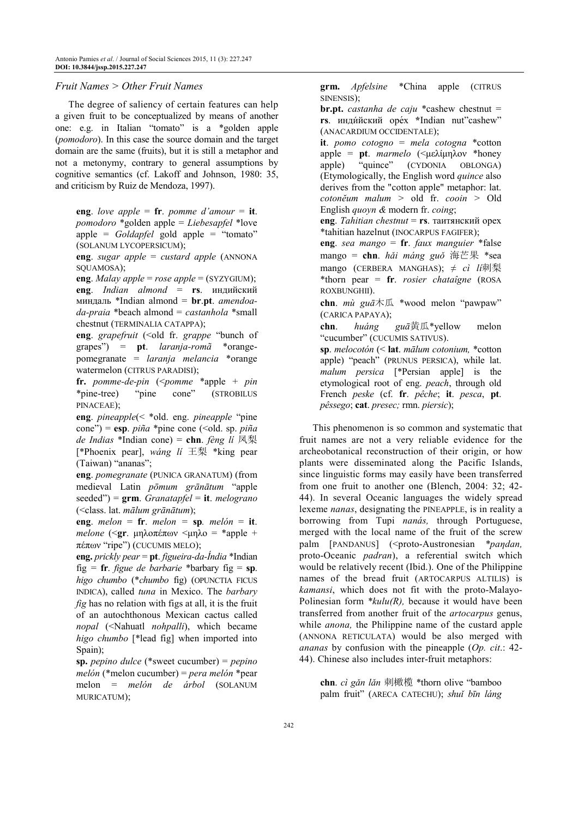### *Fruit Names > Other Fruit Names*

The degree of saliency of certain features can help a given fruit to be conceptualized by means of another one: e.g. in Italian "tomato" is a \*golden apple (*pomodoro*). In this case the source domain and the target domain are the same (fruits), but it is still a metaphor and not a metonymy, contrary to general assumptions by cognitive semantics (cf. Lakoff and Johnson, 1980: 35, and criticism by Ruiz de Mendoza, 1997).

**eng**. *love apple* = **fr**. *pomme d'amour* = **it**. *pomodoro* \*golden apple = *Liebesapfel* \*love apple = *Goldapfel* gold apple = "tomato" (SOLANUM LYCOPERSICUM);

**eng**. *sugar apple* = *custard apple* (ANNONA SQUAMOSA);

**eng**. *Malay apple* = *rose apple* = (SYZYGIUM); **eng**. *Indian almond* = **rs**. индийский миндаль \*Indian almond = **br**.**pt**. *amendoada-praia* \*beach almond = *castanhola* \*small chestnut (TERMINALIA CATAPPA);

**eng**. *grapefruit* (<old fr. *grappe* "bunch of grapes") = **pt**. *laranja-romã* \*orangepomegranate = *laranja melancia* \*orange watermelon (CITRUS PARADISI);

**fr.** *pomme-de-pin* (<*pomme* \*apple + *pin* \*pine-tree) "pine cone" (STROBILUS PINACEAE);

**eng**. *pineapple*(< \*old. eng. *pineapple* "pine  $cone''$ ) =  $esp. pi\tilde{n}a$  \*pine cone (<old. sp. *piña de Indias* \*Indian cone) = **chn**. *fèng lí* 凤梨 [\*Phoenix pear], *wáng lí* 王梨 \*king pear (Taiwan) "ananas";

**eng**. *pomegranate* (PUNICA GRANATUM) (from medieval Latin *pōmum grānātum* "apple seeded") = **grm**. *Granatapfel* = **it**. *melograno* (<class. lat. *mālum grānātum*);

**eng**. *melon* = **fr***. melon* = **sp***. melón* = **it**. *melone* (<**gr**. µηλοπέπων <µηλο = \*apple + πέπων "ripe") (CUCUMIS MELO);

**eng.** *prickly pear* = **pt**. *figueira-da-Índia* \*Indian fig *=* **fr**. *figue de barbarie* \*barbary fig = **sp**. *higo chumbo* (\**chumbo* fig) (OPUNCTIA FICUS INDICA), called *tuna* in Mexico. The *barbary fig* has no relation with figs at all, it is the fruit of an autochthonous Mexican cactus called *nopal* (<Nahuatl *nohpalli*), which became *higo chumbo* [\*lead fig] when imported into Spain);

**sp.** *pepino dulce* (\*sweet cucumber) = *pepino melón* (\*melon cucumber) = *pera melón* \*pear melon = *melón de árbol* (SOLANUM MURICATUM);

**grm.** *Apfelsine* \*China apple (CITRUS SINENSIS);

**br.pt.** *castanha de caju* \*cashew chestnut = **rs**. инди́йский оре́х **\***Indian nut"cashew" (ANACARDIUM OCCIDENTALE);

**it**. *pomo cotogno* = *mela cotogna* \*cotton apple = **pt**. *marmelo* (<µελίµηλον \*honey apple) "quince" (CYDONIA OBLONGA) (Etymologically, the English word *quince* also derives from the "cotton apple" metaphor: lat. *cotonĕum malum >* old fr. *cooin >* Old English *quoyn &* modern fr. *coing*;

**eng**. *Tahitian chestnut* = **rs**. таитянский орех \*tahitian hazelnut (INOCARPUS FAGIFER);

**eng**. *sea mango* = **fr**. *faux manguier* \*false mango = **chn**. *hǎi máng guǒ* 海芒果 \*sea mango (CERBERA MANGHAS); ≠ *cì lí*刺梨 \*thorn pear = **fr**. *rosier chataîgne* (ROSA ROXBUNGHII).

**chn**. *mù guā*木瓜 \*wood melon "pawpaw" (CARICA PAPAYA);

**chn**. *huáng guā*黄瓜\*yellow melon "cucumber" (CUCUMIS SATIVUS).

**sp**. *melocotón* (< **lat**. *mālum cotonium,* \*cotton apple) "peach" (PRUNUS PERSICA), while lat. *malum persica* [\*Persian apple] is the etymological root of eng. *peach*, through old French *peske* (cf. **fr**. *pêche*; **it**. *pesca*, **pt**. *pêssego*; **cat**. *presec;* rmn. *piersic*);

This phenomenon is so common and systematic that fruit names are not a very reliable evidence for the archeobotanical reconstruction of their origin, or how plants were disseminated along the Pacific Islands, since linguistic forms may easily have been transferred from one fruit to another one (Blench, 2004: 32; 42- 44). In several Oceanic languages the widely spread lexeme *nanas*, designating the PINEAPPLE, is in reality a borrowing from Tupi *nanás,* through Portuguese, merged with the local name of the fruit of the screw palm [PANDANUS] (<proto-Austronesian *\*pandan*, proto-Oceanic *padran*), a referential switch which would be relatively recent (Ibid.). One of the Philippine names of the bread fruit (ARTOCARPUS ALTILIS) is *kamansi*, which does not fit with the proto-Malayo-Polinesian form *\*kulu(R),* because it would have been transferred from another fruit of the *artocarpus* genus, while *anona,* the Philippine name of the custard apple (ANNONA RETICULATA) would be also merged with *ananas* by confusion with the pineapple (*Op. cit*.: 42- 44). Chinese also includes inter-fruit metaphors:

**chn**. *cì gǎn lǎn* 刺橄榄 \*thorn olive "bamboo palm fruit" (ARECA CATECHU); *shuǐ bīn láng*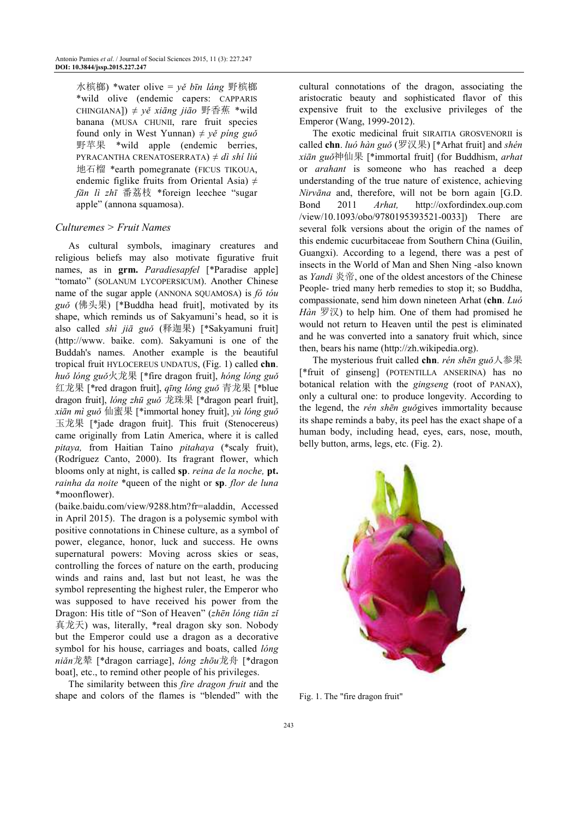水槟榔) \*water olive = *yě bīn láng* 野槟榔 \*wild olive (endemic capers: CAPPARIS CHINGIANA]) ≠ *yě xiāng jiāo* 野香蕉 \*wild banana (MUSA CHUNII, rare fruit species found only in West Yunnan)  $\neq y \circ \text{ping}$  guǒ 野苹果 \*wild apple (endemic berries, PYRACANTHA CRENATOSERRATA) ≠ *dì shí liú*  地石榴 \*earth pomegranate (FICUS TIKOUA, endemic figlike fruits from Oriental Asia)  $\neq$ *fān lì zhī* 番荔枝 \*foreign leechee "sugar apple" (annona squamosa).

# *Culturemes > Fruit Names*

As cultural symbols, imaginary creatures and religious beliefs may also motivate figurative fruit names, as in **grm.** *Paradiesapfel* [\*Paradise apple] "tomato" (SOLANUM LYCOPERSICUM). Another Chinese name of the sugar apple (ANNONA SQUAMOSA) is *fó tóu guǒ* (佛头果) [\*Buddha head fruit], motivated by its shape, which reminds us of Sakyamuni's head, so it is also called *shì jiā guǒ* (释迦果) [\*Sakyamuni fruit] (http://www. baike. com). Sakyamuni is one of the Buddah's names. Another example is the beautiful tropical fruit HYLOCEREUS UNDATUS, (Fig. 1) called **chn**. *huǒ lóng guǒ*火龙果 [\*fire dragon fruit], *hóng lóng guǒ*  红龙果 [\*red dragon fruit], *qīng lóng guǒ* 青龙果 [\*blue dragon fruit], *lóng zhū guǒ* 龙珠果 [\*dragon pearl fruit], *xiān mì guǒ* 仙蜜果 [\*immortal honey fruit], *yù lóng guǒ*  玉龙果 [\*jade dragon fruit]. This fruit (Stenocereus) came originally from Latin America, where it is called *pitaya,* from Haitian Taíno *pitahaya* (\*scaly fruit), (Rodríguez Canto, 2000). Its fragrant flower, which blooms only at night, is called **sp**. *reina de la noche,* **pt.**  *rainha da noite* \*queen of the night or **sp**. *flor de luna* \*moonflower).

(baike.baidu.com/view/9288.htm?fr=aladdin, Accessed in April 2015). The dragon is a polysemic symbol with positive connotations in Chinese culture, as a symbol of power, elegance, honor, luck and success. He owns supernatural powers: Moving across skies or seas, controlling the forces of nature on the earth, producing winds and rains and, last but not least, he was the symbol representing the highest ruler, the Emperor who was supposed to have received his power from the Dragon: His title of "Son of Heaven" (*zhēn lóng tiān zǐ*  真龙天) was, literally, \*real dragon sky son. Nobody but the Emperor could use a dragon as a decorative symbol for his house, carriages and boats, called *lóng niǎn*龙辇 [\*dragon carriage], *lóng zhōu*龙舟 [\*dragon boat], etc., to remind other people of his privileges.

The similarity between this *fire dragon fruit* and the shape and colors of the flames is "blended" with the cultural connotations of the dragon, associating the aristocratic beauty and sophisticated flavor of this expensive fruit to the exclusive privileges of the Emperor (Wang, 1999-2012).

The exotic medicinal fruit SIRAITIA GROSVENORII is called **chn**. *luó hàn guǒ* (罗汉果) [\*Arhat fruit] and *shén xiān guǒ*神仙果 [\*immortal fruit] (for Buddhism, *arhat* or *arahant* is someone who has reached a deep understanding of the true nature of existence, achieving *Nirvāna* and, therefore, will not be born again [G.D. Bond 2011 *Arhat,* http://oxfordindex.oup.com /view/10.1093/obo/9780195393521-0033]) There are several folk versions about the origin of the names of this endemic cucurbitaceae from Southern China (Guilin, Guangxi). According to a legend, there was a pest of insects in the World of Man and Shen Ning -also known as *Yandi* 炎帝, one of the oldest ancestors of the Chinese People- tried many herb remedies to stop it; so Buddha, compassionate, send him down nineteen Arhat (**chn**. *Luó Hàn* 罗汉) to help him. One of them had promised he would not return to Heaven until the pest is eliminated and he was converted into a sanatory fruit which, since then, bears his name (http://zh.wikipedia.org).

The mysterious fruit called **chn**. *rén shēn guǒ*人参果 [\*fruit of ginseng] (POTENTILLA ANSERINA) has no botanical relation with the *gingseng* (root of PANAX), only a cultural one: to produce longevity. According to the legend, the *rén shēn guǒ*gives immortality because its shape reminds a baby, its peel has the exact shape of a human body, including head, eyes, ears, nose, mouth, belly button, arms, legs, etc. (Fig. 2).



Fig. 1. The "fire dragon fruit"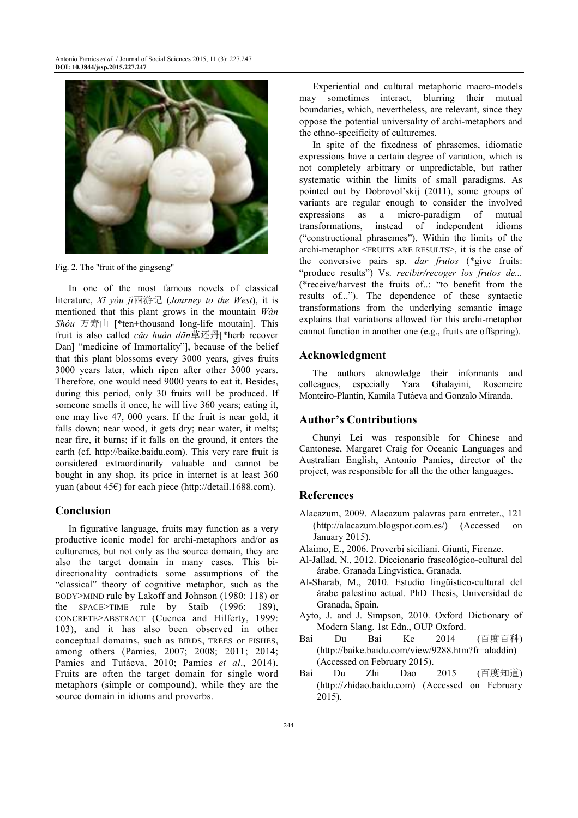

Fig. 2. The "fruit of the gingseng"

In one of the most famous novels of classical literature, *Xī yóu jì*西游记 (*Journey to the West*), it is mentioned that this plant grows in the mountain *Wàn Shòu* 万寿山 [\*ten+thousand long-life moutain]. This fruit is also called *cǎo huán dān*草还丹[\*herb recover Dan] "medicine of Immortality"], because of the belief that this plant blossoms every 3000 years, gives fruits 3000 years later, which ripen after other 3000 years. Therefore, one would need 9000 years to eat it. Besides, during this period, only 30 fruits will be produced. If someone smells it once, he will live 360 years; eating it, one may live 47, 000 years. If the fruit is near gold, it falls down; near wood, it gets dry; near water, it melts; near fire, it burns; if it falls on the ground, it enters the earth (cf. http://baike.baidu.com). This very rare fruit is considered extraordinarily valuable and cannot be bought in any shop, its price in internet is at least 360 yuan (about 45€) for each piece (http://detail.1688.com).

### **Conclusion**

In figurative language, fruits may function as a very productive iconic model for archi-metaphors and/or as culturemes, but not only as the source domain, they are also the target domain in many cases. This bidirectionality contradicts some assumptions of the "classical" theory of cognitive metaphor, such as the BODY>MIND rule by Lakoff and Johnson (1980: 118) or the SPACE>TIME rule by Staib (1996: 189), CONCRETE>ABSTRACT (Cuenca and Hilferty, 1999: 103), and it has also been observed in other conceptual domains, such as BIRDS, TREES or FISHES, among others (Pamies, 2007; 2008; 2011; 2014; Pamies and Tutáeva, 2010; Pamies *et al*., 2014). Fruits are often the target domain for single word metaphors (simple or compound), while they are the source domain in idioms and proverbs.

Experiential and cultural metaphoric macro-models may sometimes interact, blurring their mutual boundaries, which, nevertheless, are relevant, since they oppose the potential universality of archi-metaphors and the ethno-specificity of culturemes.

In spite of the fixedness of phrasemes, idiomatic expressions have a certain degree of variation, which is not completely arbitrary or unpredictable, but rather systematic within the limits of small paradigms. As pointed out by Dobrovol'skij (2011), some groups of variants are regular enough to consider the involved expressions as a micro-paradigm of mutual transformations, instead of independent idioms ("constructional phrasemes"). Within the limits of the archi-metaphor <FRUITS ARE RESULTS>, it is the case of the conversive pairs sp. *dar frutos* (\*give fruits: "produce results") Vs. *recibir/recoger los frutos de...* (\*receive/harvest the fruits of..: "to benefit from the results of..."). The dependence of these syntactic transformations from the underlying semantic image explains that variations allowed for this archi-metaphor cannot function in another one (e.g., fruits are offspring).

# **Acknowledgment**

The authors aknowledge their informants and colleagues, especially Yara Ghalayini, Rosemeire Monteiro-Plantin, Kamila Tutáeva and Gonzalo Miranda.

#### **Author's Contributions**

Chunyi Lei was responsible for Chinese and Cantonese, Margaret Craig for Oceanic Languages and Australian English, Antonio Pamies, director of the project, was responsible for all the the other languages.

#### **References**

- Alacazum, 2009. Alacazum palavras para entreter., 121 (http://alacazum.blogspot.com.es/) (Accessed on January 2015).
- Alaimo, E., 2006. Proverbi siciliani. Giunti, Firenze.
- Al-Jallad, N., 2012. Diccionario fraseológico-cultural del árabe. Granada Lingvistica, Granada.
- Al-Sharab, M., 2010. Estudio lingüístico-cultural del árabe palestino actual. PhD Thesis, Universidad de Granada, Spain.
- Ayto, J. and J. Simpson, 2010. Oxford Dictionary of Modern Slang. 1st Edn., OUP Oxford.
- Bai Du Bai Ke 2014 (百度百科) (http://baike.baidu.com/view/9288.htm?fr=aladdin) (Accessed on February 2015).
- Bai Du Zhi Dao 2015 (百度知道) (http://zhidao.baidu.com) (Accessed on February 2015).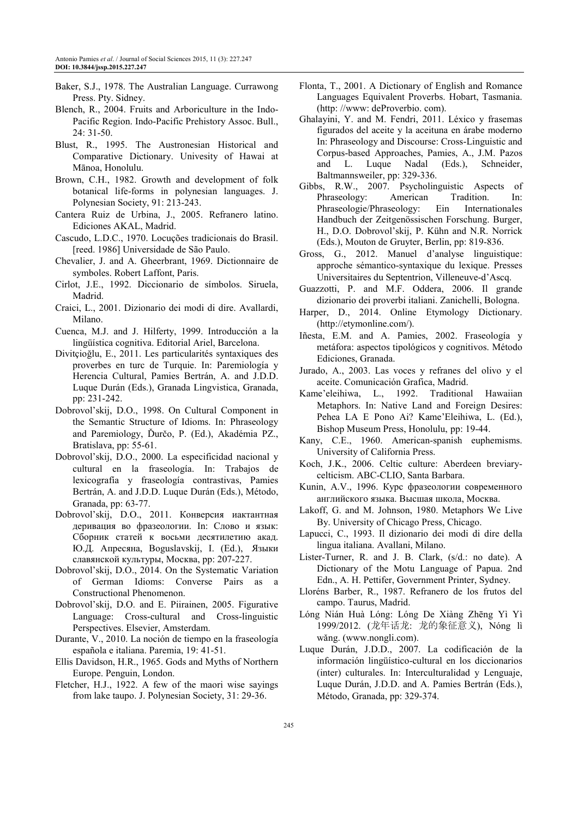- Baker, S.J., 1978. The Australian Language. Currawong Press. Pty. Sidney.
- Blench, R., 2004. Fruits and Arboriculture in the Indo-Pacific Region. Indo-Pacific Prehistory Assoc. Bull., 24: 31-50.
- Blust, R., 1995. The Austronesian Historical and Comparative Dictionary. Univesity of Hawai at Mānoa, Honolulu.
- Brown, C.H., 1982. Growth and development of folk botanical life-forms in polynesian languages. J. Polynesian Society, 91: 213-243.
- Cantera Ruiz de Urbina, J., 2005. Refranero latino. Ediciones AKAL, Madrid.
- Cascudo, L.D.C., 1970. Locuções tradicionais do Brasil. [reed. 1986] Universidade de São Paulo.
- Chevalier, J. and A. Gheerbrant, 1969. Dictionnaire de symboles. Robert Laffont, Paris.
- Cirlot, J.E., 1992. Diccionario de símbolos. Siruela, Madrid.
- Craici, L., 2001. Dizionario dei modi di dire. Avallardi, Milano.
- Cuenca, M.J. and J. Hilferty, 1999. Introducción a la lingüística cognitiva. Editorial Ariel, Barcelona.
- Divitçioğlu, E., 2011. Les particularités syntaxiques des proverbes en turc de Turquie. In: Paremiología y Herencia Cultural, Pamies Bertrán, A. and J.D.D. Luque Durán (Eds.), Granada Lingvistica, Granada, pp: 231-242.
- Dobrovol'skij, D.O., 1998. On Cultural Component in the Semantic Structure of Idioms. In: Phraseology and Paremiology, Ďurčo, P. (Ed.), Akadémia PZ., Bratislava, pp: 55-61.
- Dobrovol'skij, D.O., 2000. La especificidad nacional y cultural en la fraseología. In: Trabajos de lexicografía y fraseología contrastivas, Pamies Bertrán, A. and J.D.D. Luque Durán (Eds.), Método, Granada, pp: 63-77.
- Dobrovol'skij, D.O., 2011. Конверсия иактантная деривация во фразеологии. In: Слово и язык: Сборник статей к восьми десятилетию акад. Ю.Д. Апресяна, Boguslavskij, I. (Ed.), Языки славянской культуры, Москва, pp: 207-227.
- Dobrovol'skij, D.O., 2014. On the Systematic Variation of German Idioms: Converse Pairs as a Constructional Phenomenon.
- Dobrovol'skij, D.O. and E. Piirainen, 2005. Figurative Language: Cross-cultural and Cross-linguistic Perspectives. Elsevier, Amsterdam.
- Durante, V., 2010. La noción de tiempo en la fraseología española e italiana. Paremia, 19: 41-51.
- Ellis Davidson, H.R., 1965. Gods and Myths of Northern Europe. Penguin, London.
- Fletcher, H.J., 1922. A few of the maori wise sayings from lake taupo. J. Polynesian Society, 31: 29-36.
- Flonta, T., 2001. A Dictionary of English and Romance Languages Equivalent Proverbs. Hobart, Tasmania. (http: //www: deProverbio. com).
- Ghalayini, Y. and M. Fendri, 2011. Léxico y frasemas figurados del aceite y la aceituna en árabe moderno In: Phraseology and Discourse: Cross-Linguistic and Corpus-based Approaches, Pamies, A., J.M. Pazos and L. Luque Nadal (Eds.), Schneider, Baltmannsweiler, pp: 329-336.
- Gibbs, R.W., 2007. Psycholinguistic Aspects of Phraseology: American Tradition. In: Phraseologie/Phraseology: Ein Internationales Handbuch der Zeitgenössischen Forschung. Burger, H., D.O. Dobrovol'skij, P. Kühn and N.R. Norrick (Eds.), Mouton de Gruyter, Berlin, pp: 819-836.
- Gross, G., 2012. Manuel d'analyse linguistique: approche sémantico-syntaxique du lexique. Presses Universitaires du Septentrion, Villeneuve-d'Ascq.
- Guazzotti, P. and M.F. Oddera, 2006. Il grande dizionario dei proverbi italiani. Zanichelli, Bologna.
- Harper, D., 2014. Online Etymology Dictionary. (http://etymonline.com/).
- Iñesta, E.M. and A. Pamies, 2002. Fraseología y metáfora: aspectos tipológicos y cognitivos. Método Ediciones, Granada.
- Jurado, A., 2003. Las voces y refranes del olivo y el aceite. Comunicación Grafica, Madrid.
- Kame'eleihiwa, L., 1992. Traditional Hawaiian Metaphors. In: Native Land and Foreign Desires: Pehea LA E Pono Ai? Kame'Eleihiwa, L. (Ed.), Bishop Museum Press, Honolulu, pp: 19-44.
- Kany, C.E., 1960. American-spanish euphemisms. University of California Press.
- Koch, J.K., 2006. Celtic culture: Aberdeen breviarycelticism. ABC-CLIO, Santa Barbara.
- Kunin, A.V., 1996. Курс фразеологии современного английского языка. Высшая школа, Москва.
- Lakoff, G. and M. Johnson, 1980. Metaphors We Live By. University of Chicago Press, Chicago.
- Lapucci, C., 1993. Il dizionario dei modi di dire della lingua italiana. Avallani, Milano.
- Lister-Turner, R. and J. B. Clark, (s/d.: no date). A Dictionary of the Motu Language of Papua. 2nd Edn., A. H. Pettifer, Government Printer, Sydney.
- Lloréns Barber, R., 1987. Refranero de los frutos del campo. Taurus, Madrid.
- Lóng Nián Huà Lóng: Lóng De Xiàng Zhēng Yì Yì 1999/2012. (龙年话龙: 龙的象征意义), Nóng lì wǎng. (www.nongli.com).
- Luque Durán, J.D.D., 2007. La codificación de la información lingüístico-cultural en los diccionarios (inter) culturales. In: Interculturalidad y Lenguaje, Luque Durán, J.D.D. and A. Pamies Bertrán (Eds.), Método, Granada, pp: 329-374.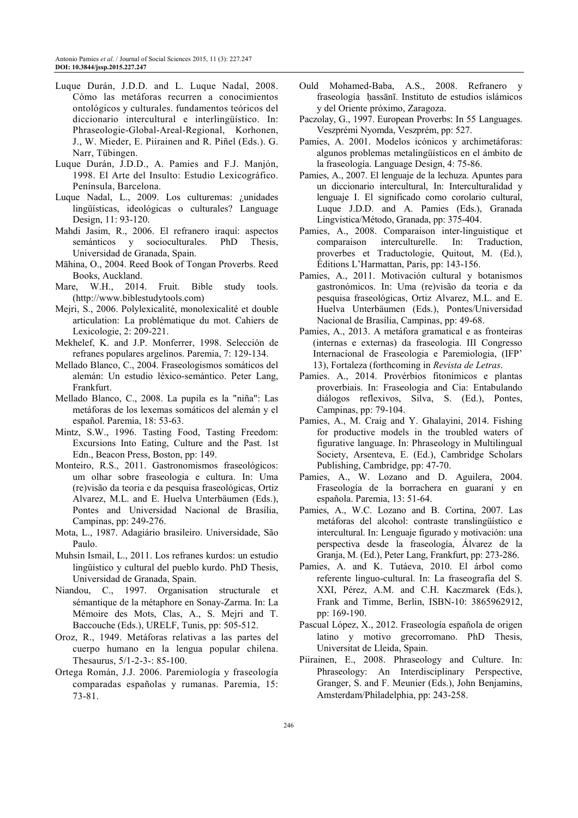- Luque Durán, J.D.D. and L. Luque Nadal, 2008. Cómo las metáforas recurren a conocimientos ontológicos y culturales. fundamentos teóricos del diccionario intercultural e interlingüístico. In: Phraseologie-Global-Areal-Regional, Korhonen, J., W. Mieder, E. Piirainen and R. Piñel (Eds.). G. Narr, Tübingen.
- Luque Durán, J.D.D., A. Pamies and F.J. Manjón, 1998. El Arte del Insulto: Estudio Lexicográfico. Península, Barcelona.
- Luque Nadal, L., 2009. Los culturemas: ¿unidades lingüísticas, ideológicas o culturales? Language Design, 11: 93-120.
- Mahdi Jasim, R., 2006. El refranero iraquí: aspectos semánticos y socioculturales. PhD Thesis, Universidad de Granada, Spain.
- Māhina, O., 2004. Reed Book of Tongan Proverbs. Reed Books, Auckland.
- Mare, W.H., 2014. Fruit. Bible study tools. (http://www.biblestudytools.com)
- Mejri, S., 2006. Polylexicalité, monolexicalité et double articulation: La problématique du mot. Cahiers de Lexicologie, 2: 209-221.
- Mekhelef, K. and J.P. Monferrer, 1998. Selección de refranes populares argelinos. Paremia, 7: 129-134.
- Mellado Blanco, C., 2004. Fraseologismos somáticos del alemán: Un estudio léxico-semántico. Peter Lang, Frankfurt.
- Mellado Blanco, C., 2008. La pupila es la "niña": Las metáforas de los lexemas somáticos del alemán y el español. Paremia, 18: 53-63.
- Mintz, S.W., 1996. Tasting Food, Tasting Freedom: Excursions Into Eating, Culture and the Past. 1st Edn., Beacon Press, Boston, pp: 149.
- Monteiro, R.S., 2011. Gastronomismos fraseológicos: um olhar sobre fraseologia e cultura. In: Uma (re)visão da teoria e da pesquisa fraseológicas, Ortiz Alvarez, M.L. and E. Huelva Unterbäumen (Eds.), Pontes and Universidad Nacional de Brasília, Campinas, pp: 249-276.
- Mota, L., 1987. Adagiário brasileiro. Universidade, São Paulo.
- Muhsin Ismail, L., 2011. Los refranes kurdos: un estudio lingüístico y cultural del pueblo kurdo. PhD Thesis, Universidad de Granada, Spain.
- Niandou, C., 1997. Organisation structurale et sémantique de la métaphore en Sonay-Zarma. In: La Mémoire des Mots, Clas, A., S. Mejri and T. Baccouche (Eds.), URELF, Tunis, pp: 505-512.
- Oroz, R., 1949. Metáforas relativas a las partes del cuerpo humano en la lengua popular chilena. Thesaurus, 5/1-2-3-: 85-100.
- Ortega Román, J.J. 2006. Paremiología y fraseología comparadas españolas y rumanas. Paremia, 15: 73-81.
- Ould Mohamed-Baba, A.S., 2008. Refranero y fraseología ḥassānī. Instituto de estudios islámicos y del Oriente próximo, Zaragoza.
- Paczolay, G., 1997. European Proverbs: In 55 Languages. Veszprémi Nyomda, Veszprém, pp: 527.
- Pamies, A. 2001. Modelos icónicos y archimetáforas: algunos problemas metalingüísticos en el ámbito de la fraseología. Language Design, 4: 75-86.
- Pamies, A., 2007. El lenguaje de la lechuza. Apuntes para un diccionario intercultural, In: Interculturalidad y lenguaje I. El significado como corolario cultural, Luque J.D.D. and A. Pamies (Eds.), Granada Lingvistica/Método, Granada, pp: 375-404.
- Pamies, A., 2008. Comparaison inter-linguistique et comparaison interculturelle. In: Traduction, proverbes et Traductologie, Quitout, M. (Ed.), Éditions L'Harmattan, Paris, pp: 143-156.
- Pamies, A., 2011. Motivación cultural y botanismos gastronómicos. In: Uma (re)visão da teoria e da pesquisa fraseológicas, Ortiz Alvarez, M.L. and E. Huelva Unterbäumen (Eds.), Pontes/Universidad Nacional de Brasília, Campinas, pp: 49-68.
- Pamies, A., 2013. A metáfora gramatical e as fronteiras (internas e externas) da fraseologia. III Congresso Internacional de Fraseologia e Paremiologia, (IFP' 13), Fortaleza (forthcoming in *Revista de Letras*.
- Pamies. A., 2014. Provérbios fitonímicos e plantas proverbiais. In: Fraseologia and Cia: Entabulando diálogos reflexivos, Silva, S. (Ed.), Pontes, Campinas, pp: 79-104.
- Pamies, A., M. Craig and Y. Ghalayini, 2014. Fishing for productive models in the troubled waters of figurative language. In: Phraseology in Multilingual Society, Arsenteva, E. (Ed.), Cambridge Scholars Publishing, Cambridge, pp: 47-70.
- Pamies, A., W. Lozano and D. Aguilera, 2004. Fraseología de la borrachera en guaraní y en española. Paremia, 13: 51-64.
- Pamies, A., W.C. Lozano and B. Cortina, 2007. Las metáforas del alcohol: contraste translingüístico e intercultural. In: Lenguaje figurado y motivación: una perspectiva desde la fraseología, Álvarez de la Granja, M. (Ed.), Peter Lang, Frankfurt, pp: 273-286.
- Pamies, A. and K. Tutáeva, 2010. El árbol como referente linguo-cultural. In: La fraseografía del S. XXI, Pérez, A.M. and C.H. Kaczmarek (Eds.), Frank and Timme, Berlin, ISBN-10: 3865962912, pp: 169-190.
- Pascual López, X., 2012. Fraseología española de origen latino y motivo grecorromano. PhD Thesis, Universitat de Lleida, Spain.
- Piirainen, E., 2008. Phraseology and Culture. In: Phraseology: An Interdisciplinary Perspective, Granger, S. and F. Meunier (Eds.), John Benjamins, Amsterdam/Philadelphia, pp: 243-258.